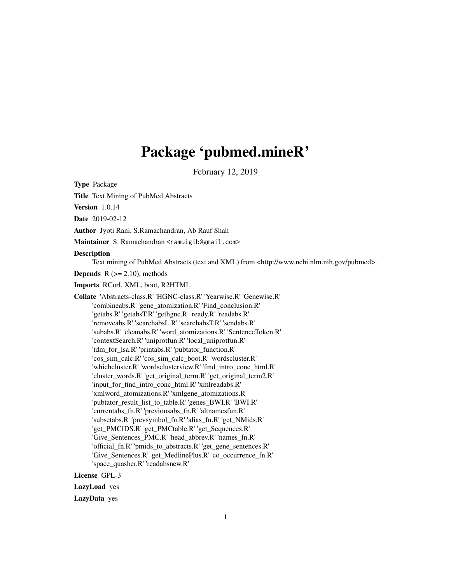# Package 'pubmed.mineR'

February 12, 2019

Type Package

Title Text Mining of PubMed Abstracts

Version 1.0.14

Date 2019-02-12

Author Jyoti Rani, S.Ramachandran, Ab Rauf Shah

Maintainer S. Ramachandran <ramuigib@gmail.com>

**Description** 

Text mining of PubMed Abstracts (text and XML) from <http://www.ncbi.nlm.nih.gov/pubmed>.

**Depends**  $R$  ( $>= 2.10$ ), methods

Imports RCurl, XML, boot, R2HTML

Collate 'Abstracts-class.R' 'HGNC-class.R' 'Yearwise.R' 'Genewise.R' 'combineabs.R' 'gene\_atomization.R' 'Find\_conclusion.R' 'getabs.R' 'getabsT.R' 'gethgnc.R' 'ready.R' 'readabs.R' 'removeabs.R' 'searchabsL.R' 'searchabsT.R' 'sendabs.R' 'subabs.R' 'cleanabs.R' 'word\_atomizations.R' 'SentenceToken.R' 'contextSearch.R' 'uniprotfun.R' 'local\_uniprotfun.R' 'tdm\_for\_lsa.R' 'printabs.R' 'pubtator\_function.R' 'cos\_sim\_calc.R' 'cos\_sim\_calc\_boot.R' 'wordscluster.R' 'whichcluster.R' 'wordsclusterview.R' 'find\_intro\_conc\_html.R' 'cluster\_words.R' 'get\_original\_term.R' 'get\_original\_term2.R' 'input\_for\_find\_intro\_conc\_html.R' 'xmlreadabs.R' 'xmlword\_atomizations.R' 'xmlgene\_atomizations.R' 'pubtator\_result\_list\_to\_table.R' 'genes\_BWI.R' 'BWI.R' 'currentabs\_fn.R' 'previousabs\_fn.R' 'altnamesfun.R' 'subsetabs.R' 'prevsymbol\_fn.R' 'alias\_fn.R' 'get\_NMids.R' 'get\_PMCIDS.R' 'get\_PMCtable.R' 'get\_Sequences.R' 'Give\_Sentences\_PMC.R' 'head\_abbrev.R' 'names\_fn.R' 'official\_fn.R' 'pmids\_to\_abstracts.R' 'get\_gene\_sentences.R' 'Give\_Sentences.R' 'get\_MedlinePlus.R' 'co\_occurrence\_fn.R' 'space\_quasher.R' 'readabsnew.R'

License GPL-3

LazyLoad yes

LazyData yes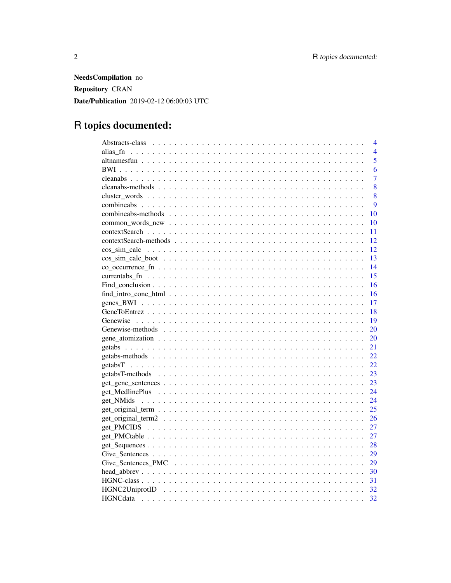NeedsCompilation no Repository CRAN Date/Publication 2019-02-12 06:00:03 UTC

# R topics documented:

|                                                                                                                                                                                                                                | $\overline{4}$ |
|--------------------------------------------------------------------------------------------------------------------------------------------------------------------------------------------------------------------------------|----------------|
| alias fn                                                                                                                                                                                                                       | $\overline{4}$ |
|                                                                                                                                                                                                                                | 5              |
|                                                                                                                                                                                                                                | 6              |
|                                                                                                                                                                                                                                | $\overline{7}$ |
|                                                                                                                                                                                                                                | 8              |
|                                                                                                                                                                                                                                | 8              |
|                                                                                                                                                                                                                                | 9              |
|                                                                                                                                                                                                                                | 10             |
|                                                                                                                                                                                                                                | 10             |
|                                                                                                                                                                                                                                | 11             |
|                                                                                                                                                                                                                                | 12             |
| cos sim calc                                                                                                                                                                                                                   | 12             |
| $\cos \sin \theta = \csc \cos \theta$                                                                                                                                                                                          | 13             |
| co occurrence find that is not interested in the set of the set of the set of the set of the set of the set of the set of the set of the set of the set of the set of the set of the set of the set of the set of the set of t | 14             |
|                                                                                                                                                                                                                                | 15             |
|                                                                                                                                                                                                                                | 16             |
|                                                                                                                                                                                                                                | 16             |
|                                                                                                                                                                                                                                | 17             |
|                                                                                                                                                                                                                                | 18             |
|                                                                                                                                                                                                                                | 19             |
|                                                                                                                                                                                                                                | 20             |
|                                                                                                                                                                                                                                | <b>20</b>      |
|                                                                                                                                                                                                                                | 21             |
|                                                                                                                                                                                                                                | 22             |
|                                                                                                                                                                                                                                | 22             |
|                                                                                                                                                                                                                                | 23             |
|                                                                                                                                                                                                                                | 23             |
|                                                                                                                                                                                                                                | 24             |
|                                                                                                                                                                                                                                | 24             |
|                                                                                                                                                                                                                                | 25             |
|                                                                                                                                                                                                                                | 26             |
|                                                                                                                                                                                                                                | 27             |
|                                                                                                                                                                                                                                | 27             |
|                                                                                                                                                                                                                                | 28             |
|                                                                                                                                                                                                                                | 29             |
|                                                                                                                                                                                                                                | 29             |
|                                                                                                                                                                                                                                | 30             |
|                                                                                                                                                                                                                                | 31             |
|                                                                                                                                                                                                                                | 32             |
|                                                                                                                                                                                                                                | 32             |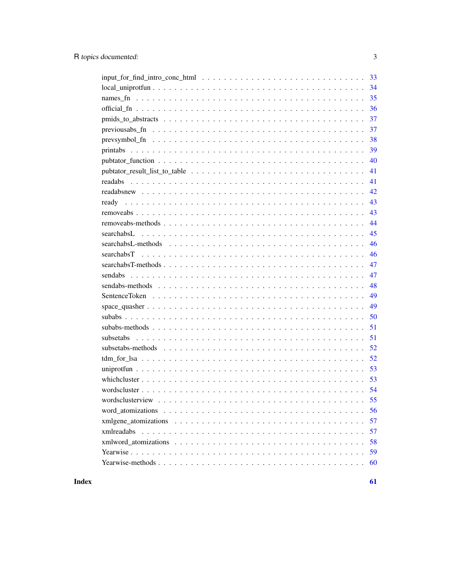| 35                                                                                                                           |
|------------------------------------------------------------------------------------------------------------------------------|
| 36                                                                                                                           |
| 37                                                                                                                           |
| 37<br>previousabs_fn $\dots \dots \dots \dots \dots \dots \dots \dots \dots \dots \dots \dots \dots \dots \dots \dots \dots$ |
| 38                                                                                                                           |
| 39                                                                                                                           |
| 40                                                                                                                           |
| 41                                                                                                                           |
| 41                                                                                                                           |
| 42                                                                                                                           |
| 43                                                                                                                           |
| 43                                                                                                                           |
| 44                                                                                                                           |
| 45                                                                                                                           |
| 46                                                                                                                           |
| 46                                                                                                                           |
| 47                                                                                                                           |
| 47                                                                                                                           |
| 48                                                                                                                           |
| 49                                                                                                                           |
| 49                                                                                                                           |
| 50                                                                                                                           |
| 51                                                                                                                           |
| 51                                                                                                                           |
| 52                                                                                                                           |
| 52                                                                                                                           |
| 53                                                                                                                           |
|                                                                                                                              |
|                                                                                                                              |
|                                                                                                                              |
| 56                                                                                                                           |
| 57                                                                                                                           |
| xmlreadabs<br>57                                                                                                             |
| 58                                                                                                                           |
| 59                                                                                                                           |
| 60                                                                                                                           |

## **Index**

 $\overline{\mathbf{3}}$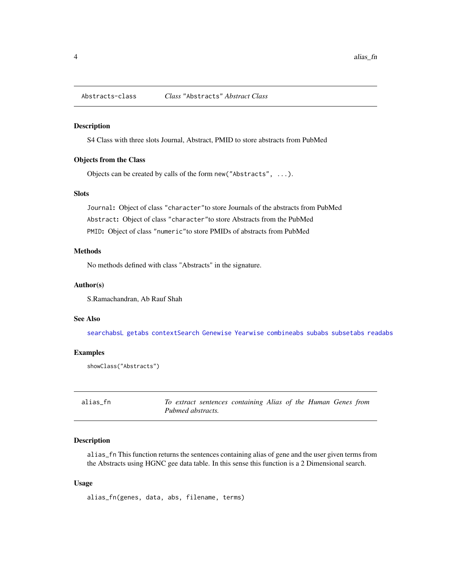<span id="page-3-1"></span><span id="page-3-0"></span>Abstracts-class *Class* "Abstracts" *Abstract Class*

#### Description

S4 Class with three slots Journal, Abstract, PMID to store abstracts from PubMed

#### Objects from the Class

Objects can be created by calls of the form new("Abstracts", ...).

### Slots

Journal: Object of class "character"to store Journals of the abstracts from PubMed Abstract: Object of class "character"to store Abstracts from the PubMed PMID: Object of class "numeric"to store PMIDs of abstracts from PubMed

### Methods

No methods defined with class "Abstracts" in the signature.

#### Author(s)

S.Ramachandran, Ab Rauf Shah

#### See Also

[searchabsL](#page-44-1) [getabs](#page-20-1) [contextSearch](#page-10-1) [Genewise](#page-18-1) [Yearwise](#page-58-1) [combineabs](#page-8-1) [subabs](#page-49-1) [subsetabs](#page-50-1) [readabs](#page-40-1)

#### Examples

showClass("Abstracts")

alias\_fn *To extract sentences containing Alias of the Human Genes from Pubmed abstracts.*

#### Description

alias\_fn This function returns the sentences containing alias of gene and the user given terms from the Abstracts using HGNC gee data table. In this sense this function is a 2 Dimensional search.

#### Usage

alias\_fn(genes, data, abs, filename, terms)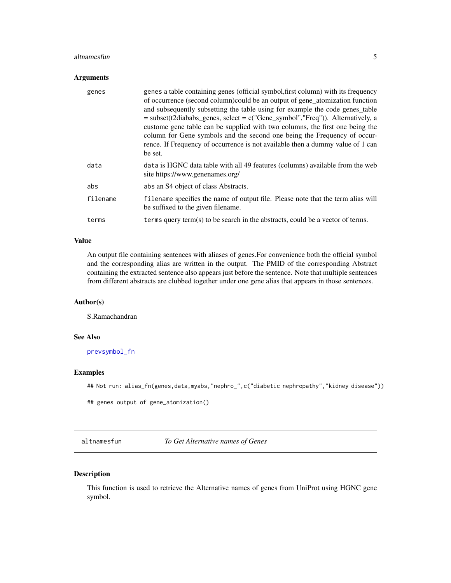#### <span id="page-4-0"></span>altnamesfun 55 to 55 km s and 55 km s and 55 km s and 55 km s and 55 km s and 55 km s and 55 km s and 55 km s and 55 km s and 55 km s and 55 km s and 55 km s and 55 km s and 55 km s and 55 km s and 55 km s and 55 km s and

### Arguments

| genes    | genes a table containing genes (official symbol, first column) with its frequency<br>of occurrence (second column)could be an output of gene_atomization function<br>and subsequently subsetting the table using for example the code genes_table<br>$=$ subset(t2diababs_genes, select $=$ c("Gene_symbol","Freq")). Alternatively, a<br>custome gene table can be supplied with two columns, the first one being the<br>column for Gene symbols and the second one being the Frequency of occur-<br>rence. If Frequency of occurrence is not available then a dummy value of 1 can<br>be set. |
|----------|-------------------------------------------------------------------------------------------------------------------------------------------------------------------------------------------------------------------------------------------------------------------------------------------------------------------------------------------------------------------------------------------------------------------------------------------------------------------------------------------------------------------------------------------------------------------------------------------------|
| data     | data is HGNC data table with all 49 features (columns) available from the web<br>site https://www.genenames.org/                                                                                                                                                                                                                                                                                                                                                                                                                                                                                |
| abs      | abs an S4 object of class Abstracts.                                                                                                                                                                                                                                                                                                                                                                                                                                                                                                                                                            |
| filename | filename specifies the name of output file. Please note that the term alias will<br>be suffixed to the given filename.                                                                                                                                                                                                                                                                                                                                                                                                                                                                          |
| terms    | terms query term(s) to be search in the abstracts, could be a vector of terms.                                                                                                                                                                                                                                                                                                                                                                                                                                                                                                                  |

### Value

An output file containing sentences with aliases of genes.For convenience both the official symbol and the corresponding alias are written in the output. The PMID of the corresponding Abstract containing the extracted sentence also appears just before the sentence. Note that multiple sentences from different abstracts are clubbed together under one gene alias that appears in those sentences.

### Author(s)

S.Ramachandran

### See Also

[prevsymbol\\_fn](#page-37-1)

### Examples

## Not run: alias\_fn(genes,data,myabs,"nephro\_",c("diabetic nephropathy","kidney disease"))

```
## genes output of gene_atomization()
```
altnamesfun *To Get Alternative names of Genes*

### Description

This function is used to retrieve the Alternative names of genes from UniProt using HGNC gene symbol.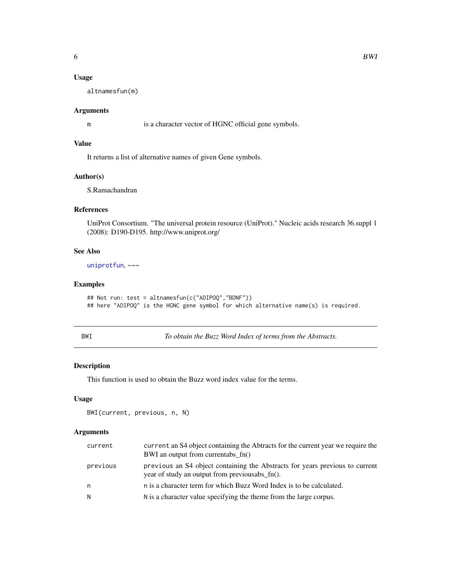### <span id="page-5-0"></span>Usage

altnamesfun(m)

### Arguments

m is a character vector of HGNC official gene symbols.

### Value

It returns a list of alternative names of given Gene symbols.

### Author(s)

S.Ramachandran

#### References

UniProt Consortium. "The universal protein resource (UniProt)." Nucleic acids research 36.suppl 1 (2008): D190-D195. http://www.uniprot.org/

### See Also

[uniprotfun](#page-52-1), ~~~

### Examples

```
## Not run: test = altnamesfun(c("ADIPOQ","BDNF"))
## here "ADIPOQ" is the HGNC gene symbol for which alternative name(s) is required.
```
<span id="page-5-1"></span>BWI *To obtain the Buzz Word Index of terms from the Abstracts.*

### Description

This function is used to obtain the Buzz word index value for the terms.

#### Usage

```
BWI(current, previous, n, N)
```
### Arguments

| current  | current an S4 object containing the Abtracts for the current year we require the<br>BWI an output from currentabs fn()         |
|----------|--------------------------------------------------------------------------------------------------------------------------------|
| previous | previous an S4 object containing the Abstracts for years previous to current<br>year of study an output from previousabs fn(). |
| n        | n is a character term for which Buzz Word Index is to be calculated.                                                           |
| N        | N is a character value specifying the theme from the large corpus.                                                             |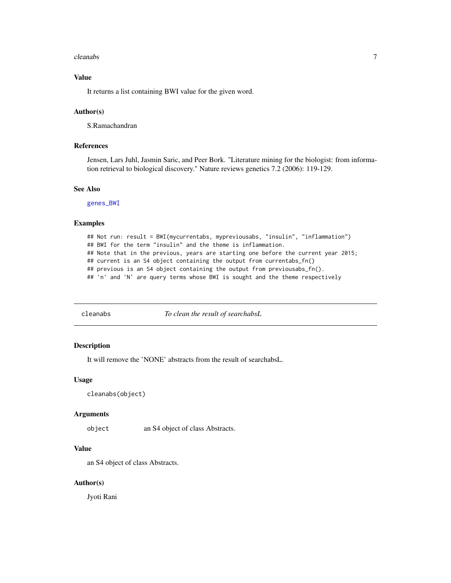#### <span id="page-6-0"></span>cleanabs 7

### Value

It returns a list containing BWI value for the given word.

#### Author(s)

S.Ramachandran

### References

Jensen, Lars Juhl, Jasmin Saric, and Peer Bork. "Literature mining for the biologist: from information retrieval to biological discovery." Nature reviews genetics 7.2 (2006): 119-129.

#### See Also

[genes\\_BWI](#page-16-1)

#### Examples

## Not run: result = BWI(mycurrentabs, mypreviousabs, "insulin", "inflammation") ## BWI for the term "insulin" and the theme is inflammation. ## Note that in the previous, years are starting one before the current year 2015; ## current is an S4 object containing the output from currentabs\_fn() ## previous is an S4 object containing the output from previousabs\_fn(). ## 'n' and 'N' are query terms whose BWI is sought and the theme respectively

cleanabs *To clean the result of searchabsL*

#### Description

It will remove the 'NONE' abstracts from the result of searchabsL.

### Usage

```
cleanabs(object)
```
#### Arguments

object an S4 object of class Abstracts.

#### Value

an S4 object of class Abstracts.

#### Author(s)

Jyoti Rani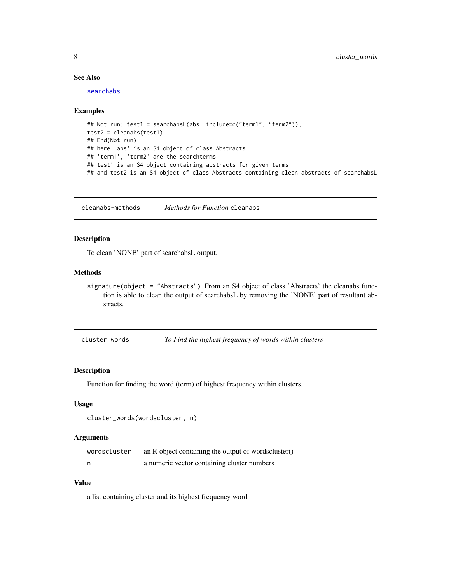### See Also

[searchabsL](#page-44-1)

#### Examples

```
## Not run: test1 = searchabsL(abs, include=c("term1", "term2"));
test2 = cleanabs(test1)
## End(Not run)
## here 'abs' is an S4 object of class Abstracts
## 'term1', 'term2' are the searchterms
## test1 is an S4 object containing abstracts for given terms
## and test2 is an S4 object of class Abstracts containing clean abstracts of searchabsL
```
cleanabs-methods *Methods for Function* cleanabs

### Description

To clean 'NONE' part of searchabsL output.

#### Methods

signature(object = "Abstracts") From an S4 object of class 'Abstracts' the cleanabs function is able to clean the output of searchabsL by removing the 'NONE' part of resultant abstracts.

cluster\_words *To Find the highest frequency of words within clusters*

#### Description

Function for finding the word (term) of highest frequency within clusters.

#### Usage

```
cluster_words(wordscluster, n)
```
#### Arguments

| wordscluster | an R object containing the output of wordscluster() |
|--------------|-----------------------------------------------------|
|              | a numeric vector containing cluster numbers         |

### Value

a list containing cluster and its highest frequency word

<span id="page-7-0"></span>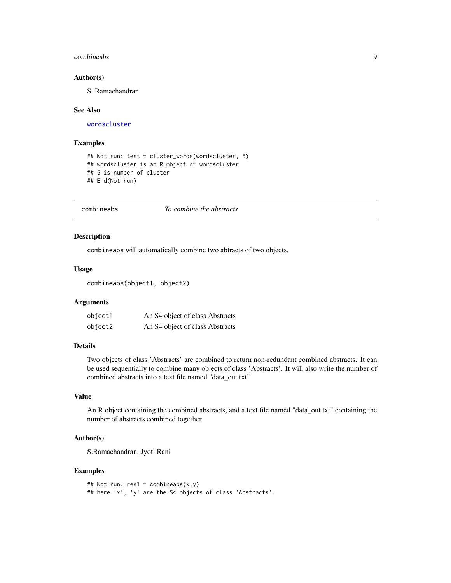#### <span id="page-8-0"></span>combineabs **9**

#### Author(s)

S. Ramachandran

#### See Also

[wordscluster](#page-53-1)

#### Examples

```
## Not run: test = cluster_words(wordscluster, 5)
## wordscluster is an R object of wordscluster
## 5 is number of cluster
## End(Not run)
```
<span id="page-8-1"></span>combineabs *To combine the abstracts*

### Description

combineabs will automatically combine two abtracts of two objects.

#### Usage

```
combineabs(object1, object2)
```
#### Arguments

| object1 | An S4 object of class Abstracts |
|---------|---------------------------------|
| object2 | An S4 object of class Abstracts |

#### Details

Two objects of class 'Abstracts' are combined to return non-redundant combined abstracts. It can be used sequentially to combine many objects of class 'Abstracts'. It will also write the number of combined abstracts into a text file named "data\_out.txt"

### Value

An R object containing the combined abstracts, and a text file named "data\_out.txt" containing the number of abstracts combined together

### Author(s)

S.Ramachandran, Jyoti Rani

```
## Not run: res1 = combineabs(x,y)## here 'x', 'y' are the S4 objects of class 'Abstracts'.
```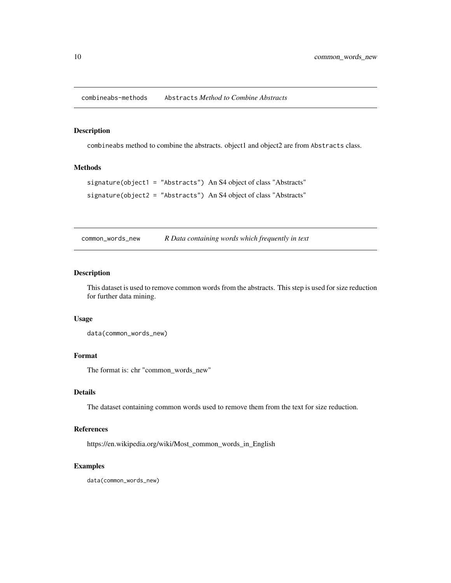<span id="page-9-0"></span>combineabs-methods Abstracts *Method to Combine Abstracts*

### Description

combineabs method to combine the abstracts. object1 and object2 are from Abstracts class.

### Methods

```
signature(object1 = "Abstracts") An S4 object of class "Abstracts"
signature(object2 = "Abstracts") An S4 object of class "Abstracts"
```
common\_words\_new *R Data containing words which frequently in text*

#### Description

This dataset is used to remove common words from the abstracts. This step is used for size reduction for further data mining.

#### Usage

data(common\_words\_new)

#### Format

The format is: chr "common\_words\_new"

### Details

The dataset containing common words used to remove them from the text for size reduction.

#### References

https://en.wikipedia.org/wiki/Most\_common\_words\_in\_English

### Examples

data(common\_words\_new)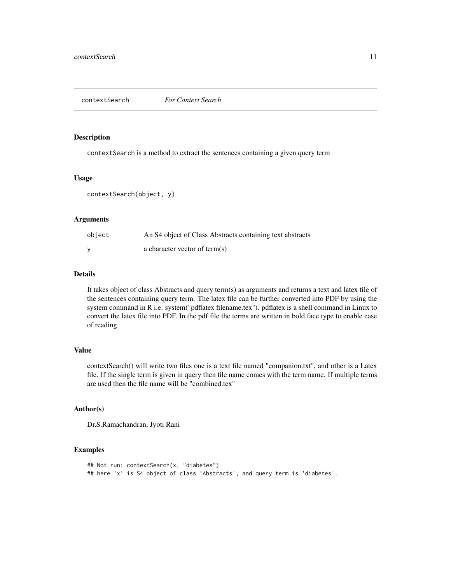<span id="page-10-1"></span><span id="page-10-0"></span>

contextSearch is a method to extract the sentences containing a given query term

### Usage

contextSearch(object, y)

#### **Arguments**

| object | An S4 object of Class Abstracts containing text abstracts |
|--------|-----------------------------------------------------------|
|        | a character vector of term(s)                             |

#### Details

It takes object of class Abstracts and query term(s) as arguments and returns a text and latex file of the sentences containing query term. The latex file can be further converted into PDF by using the system command in R i.e. system("pdflatex filename.tex"). pdflatex is a shell command in Linux to convert the latex file into PDF. In the pdf file the terms are written in bold face type to enable ease of reading

### Value

contextSearch() will write two files one is a text file named "companion.txt", and other is a Latex file. If the single term is given in query then file name comes with the term name. If multiple terms are used then the file name will be "combined.tex"

### Author(s)

Dr.S.Ramachandran, Jyoti Rani

```
## Not run: contextSearch(x, "diabetes")
## here 'x' is S4 object of class 'Abstracts', and query term is 'diabetes'.
```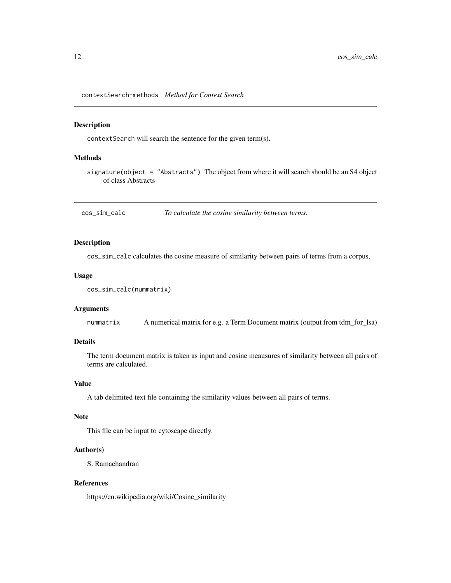<span id="page-11-0"></span>contextSearch-methods *Method for Context Search*

#### Description

contextSearch will search the sentence for the given term(s).

#### Methods

signature(object = "Abstracts") The object from where it will search should be an S4 object of class Abstracts

cos\_sim\_calc *To calculate the cosine similarity between terms.*

### Description

cos\_sim\_calc calculates the cosine measure of similarity between pairs of terms from a corpus.

#### Usage

```
cos_sim_calc(nummatrix)
```
#### Arguments

nummatrix A numerical matrix for e.g. a Term Document matrix (output from tdm\_for\_lsa)

### Details

The term document matrix is taken as input and cosine meausures of similarity between all pairs of terms are calculated.

### Value

A tab delimited text file containing the similarity values between all pairs of terms.

#### Note

This file can be input to cytoscape directly.

### Author(s)

S. Ramachandran

### References

https://en.wikipedia.org/wiki/Cosine\_similarity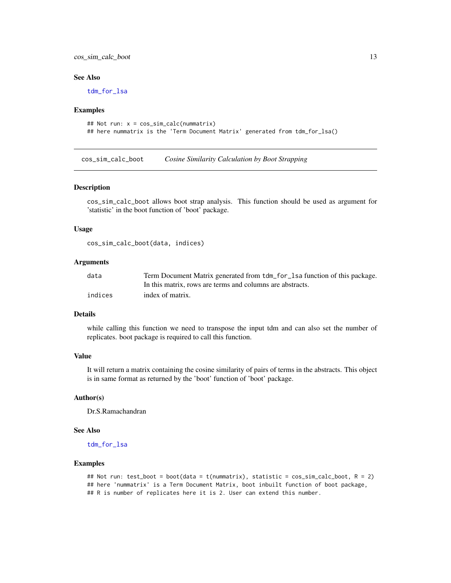### <span id="page-12-0"></span>cos\_sim\_calc\_boot 13

#### See Also

[tdm\\_for\\_lsa](#page-51-1)

#### Examples

```
## Not run: x = cos_sim_calc(nummatrix)
## here nummatrix is the 'Term Document Matrix' generated from tdm_for_lsa()
```
cos\_sim\_calc\_boot *Cosine Similarity Calculation by Boot Strapping*

#### Description

cos\_sim\_calc\_boot allows boot strap analysis. This function should be used as argument for 'statistic' in the boot function of 'boot' package.

#### Usage

cos\_sim\_calc\_boot(data, indices)

#### Arguments

| data    | Term Document Matrix generated from tdm_for_lsa function of this package. |
|---------|---------------------------------------------------------------------------|
|         | In this matrix, rows are terms and columns are abstracts.                 |
| indices | index of matrix.                                                          |

#### Details

while calling this function we need to transpose the input tdm and can also set the number of replicates. boot package is required to call this function.

### Value

It will return a matrix containing the cosine similarity of pairs of terms in the abstracts. This object is in same format as returned by the 'boot' function of 'boot' package.

#### Author(s)

Dr.S.Ramachandran

#### See Also

[tdm\\_for\\_lsa](#page-51-1)

```
## Not run: test_boot = boot(data = t(nummatrix), statistic = cos_sim_calc_boot, R = 2)
## here 'nummatrix' is a Term Document Matrix, boot inbuilt function of boot package,
## R is number of replicates here it is 2. User can extend this number.
```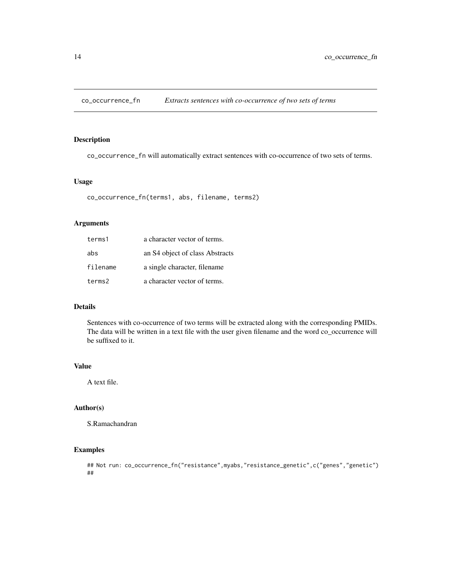<span id="page-13-0"></span>

co\_occurrence\_fn will automatically extract sentences with co-occurrence of two sets of terms.

#### Usage

co\_occurrence\_fn(terms1, abs, filename, terms2)

### Arguments

| terms1   | a character vector of terms.    |
|----------|---------------------------------|
| abs      | an S4 object of class Abstracts |
| filename | a single character, filename    |
| terms2   | a character vector of terms.    |

### Details

Sentences with co-occurrence of two terms will be extracted along with the corresponding PMIDs. The data will be written in a text file with the user given filename and the word co\_occurrence will be suffixed to it.

### Value

A text file.

#### Author(s)

S.Ramachandran

```
## Not run: co_occurrence_fn("resistance",myabs,"resistance_genetic",c("genes","genetic")
##
```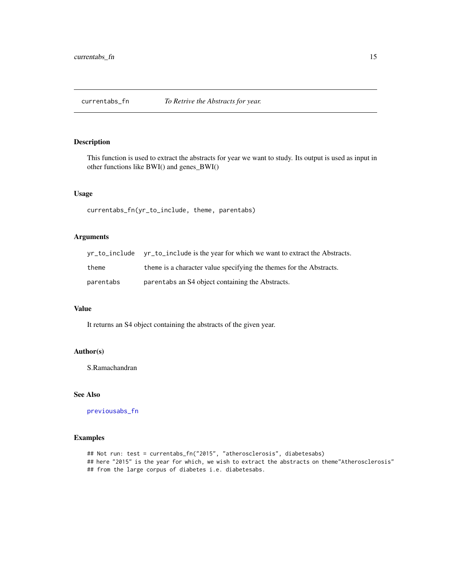<span id="page-14-1"></span><span id="page-14-0"></span>

This function is used to extract the abstracts for year we want to study. Its output is used as input in other functions like BWI() and genes\_BWI()

### Usage

currentabs\_fn(yr\_to\_include, theme, parentabs)

### Arguments

|           | yr_to_include yr_to_include is the year for which we want to extract the Abstracts. |
|-----------|-------------------------------------------------------------------------------------|
| theme     | theme is a character value specifying the themes for the Abstracts.                 |
| parentabs | parentabs an S4 object containing the Abstracts.                                    |

### Value

It returns an S4 object containing the abstracts of the given year.

#### Author(s)

S.Ramachandran

#### See Also

[previousabs\\_fn](#page-36-1)

### Examples

## Not run: test = currentabs\_fn("2015", "atherosclerosis", diabetesabs) ## here "2015" is the year for which, we wish to extract the abstracts on theme"Atherosclerosis" ## from the large corpus of diabetes i.e. diabetesabs.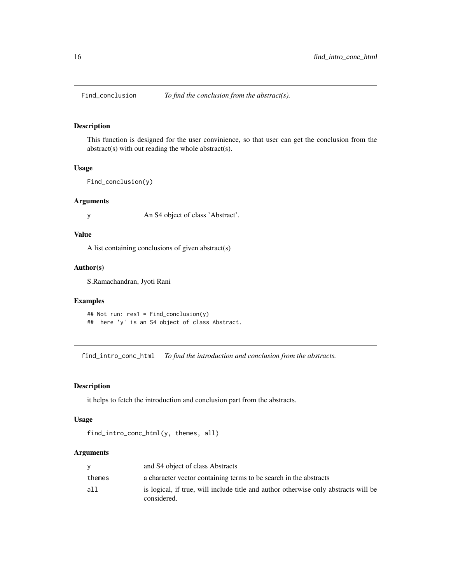<span id="page-15-0"></span>

This function is designed for the user convinience, so that user can get the conclusion from the abstract(s) with out reading the whole abstract(s).

#### Usage

```
Find_conclusion(y)
```
#### Arguments

y An S4 object of class 'Abstract'.

#### Value

A list containing conclusions of given abstract(s)

#### Author(s)

S.Ramachandran, Jyoti Rani

#### Examples

```
## Not run: res1 = Find_conclusion(y)
## here 'y' is an S4 object of class Abstract.
```
<span id="page-15-1"></span>find\_intro\_conc\_html *To find the introduction and conclusion from the abstracts.*

#### Description

it helps to fetch the introduction and conclusion part from the abstracts.

#### Usage

```
find_intro_conc_html(y, themes, all)
```
#### Arguments

|        | and S4 object of class Abstracts                                                                   |
|--------|----------------------------------------------------------------------------------------------------|
| themes | a character vector containing terms to be search in the abstracts                                  |
| all    | is logical, if true, will include title and author otherwise only abstracts will be<br>considered. |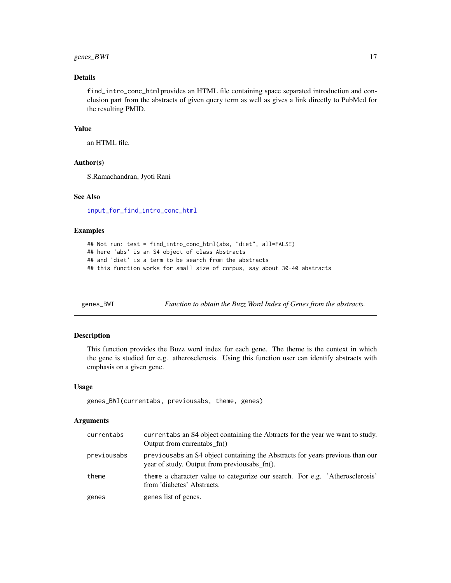### <span id="page-16-0"></span>genes\_BWI 17

### Details

find\_intro\_conc\_htmlprovides an HTML file containing space separated introduction and conclusion part from the abstracts of given query term as well as gives a link directly to PubMed for the resulting PMID.

### Value

an HTML file.

#### Author(s)

S.Ramachandran, Jyoti Rani

#### See Also

[input\\_for\\_find\\_intro\\_conc\\_html](#page-32-1)

### Examples

```
## Not run: test = find_intro_conc_html(abs, "diet", all=FALSE)
## here 'abs' is an S4 object of class Abstracts
## and 'diet' is a term to be search from the abstracts
## this function works for small size of corpus, say about 30-40 abstracts
```
<span id="page-16-1"></span>genes\_BWI *Function to obtain the Buzz Word Index of Genes from the abstracts.*

#### Description

This function provides the Buzz word index for each gene. The theme is the context in which the gene is studied for e.g. atherosclerosis. Using this function user can identify abstracts with emphasis on a given gene.

#### Usage

```
genes_BWI(currentabs, previousabs, theme, genes)
```
#### Arguments

| currentabs  | currentabs an S4 object containing the Abtracts for the year we want to study.<br>Output from currentabs fn()                 |
|-------------|-------------------------------------------------------------------------------------------------------------------------------|
| previousabs | previousabs an S4 object containing the Abstracts for years previous than our<br>year of study. Output from previousabs fn(). |
| theme       | theme a character value to categorize our search. For e.g. 'Atherosclerosis'<br>from 'diabetes' Abstracts.                    |
| genes       | genes list of genes.                                                                                                          |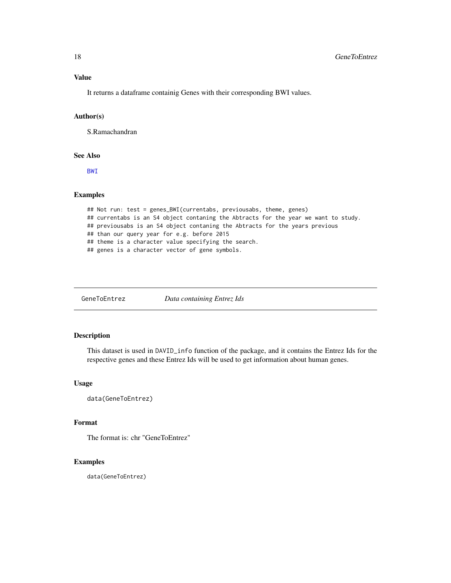### <span id="page-17-0"></span>Value

It returns a dataframe containig Genes with their corresponding BWI values.

#### Author(s)

S.Ramachandran

#### See Also

[BWI](#page-5-1)

### Examples

```
## Not run: test = genes_BWI(currentabs, previousabs, theme, genes)
## currentabs is an S4 object contaning the Abtracts for the year we want to study.
## previousabs is an S4 object contaning the Abtracts for the years previous
## than our query year for e.g. before 2015
## theme is a character value specifying the search.
## genes is a character vector of gene symbols.
```
GeneToEntrez *Data containing Entrez Ids*

### Description

This dataset is used in DAVID\_info function of the package, and it contains the Entrez Ids for the respective genes and these Entrez Ids will be used to get information about human genes.

#### Usage

```
data(GeneToEntrez)
```
### Format

The format is: chr "GeneToEntrez"

### Examples

data(GeneToEntrez)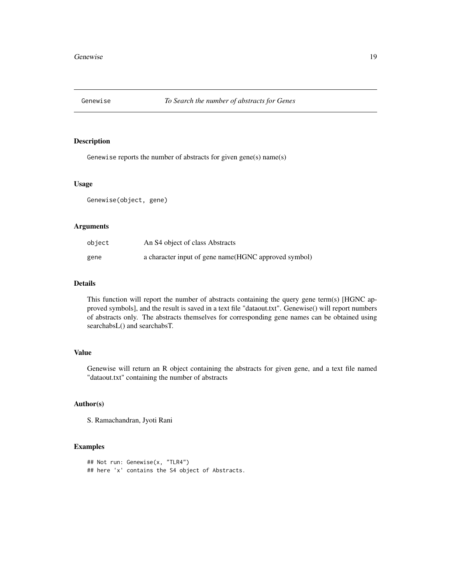<span id="page-18-1"></span><span id="page-18-0"></span>

Genewise reports the number of abstracts for given gene(s) name(s)

#### Usage

Genewise(object, gene)

### Arguments

| object | An S4 object of class Abstracts                       |
|--------|-------------------------------------------------------|
| gene   | a character input of gene name (HGNC approved symbol) |

### Details

This function will report the number of abstracts containing the query gene term(s) [HGNC approved symbols], and the result is saved in a text file "dataout.txt". Genewise() will report numbers of abstracts only. The abstracts themselves for corresponding gene names can be obtained using searchabsL() and searchabsT.

### Value

Genewise will return an R object containing the abstracts for given gene, and a text file named "dataout.txt" containing the number of abstracts

#### Author(s)

S. Ramachandran, Jyoti Rani

```
## Not run: Genewise(x, "TLR4")
## here 'x' contains the S4 object of Abstracts.
```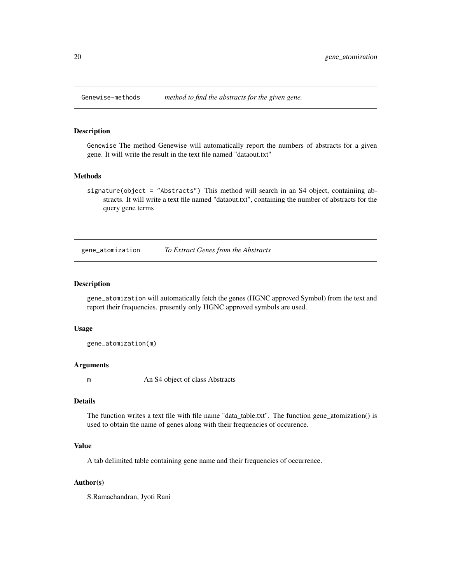<span id="page-19-0"></span>

Genewise The method Genewise will automatically report the numbers of abstracts for a given gene. It will write the result in the text file named "dataout.txt"

#### **Methods**

signature(object = "Abstracts") This method will search in an S4 object, containiing abstracts. It will write a text file named "dataout.txt", containing the number of abstracts for the query gene terms

gene\_atomization *To Extract Genes from the Abstracts*

### Description

gene\_atomization will automatically fetch the genes (HGNC approved Symbol) from the text and report their frequencies. presently only HGNC approved symbols are used.

#### Usage

gene\_atomization(m)

#### Arguments

m An S4 object of class Abstracts

#### Details

The function writes a text file with file name "data\_table.txt". The function gene\_atomization() is used to obtain the name of genes along with their frequencies of occurence.

### Value

A tab delimited table containing gene name and their frequencies of occurrence.

### Author(s)

S.Ramachandran, Jyoti Rani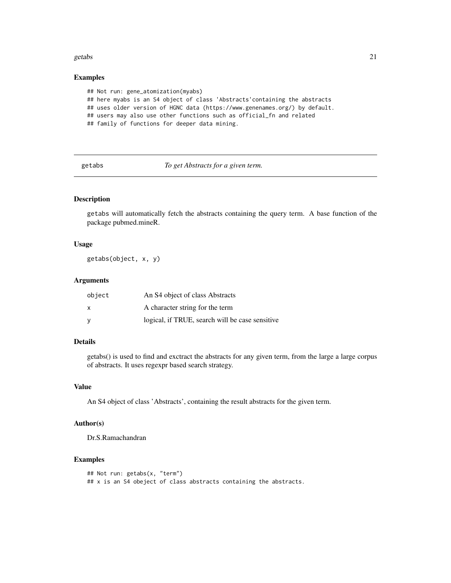#### <span id="page-20-0"></span>getabs 21

#### Examples

```
## Not run: gene_atomization(myabs)
## here myabs is an S4 object of class 'Abstracts'containing the abstracts
## uses older version of HGNC data (https://www.genenames.org/) by default.
## users may also use other functions such as official_fn and related
## family of functions for deeper data mining.
```
<span id="page-20-1"></span>getabs *To get Abstracts for a given term.*

### Description

getabs will automatically fetch the abstracts containing the query term. A base function of the package pubmed.mineR.

#### Usage

getabs(object, x, y)

#### Arguments

| object | An S4 object of class Abstracts                 |
|--------|-------------------------------------------------|
| X      | A character string for the term                 |
| V      | logical, if TRUE, search will be case sensitive |

#### Details

getabs() is used to find and exctract the abstracts for any given term, from the large a large corpus of abstracts. It uses regexpr based search strategy.

#### Value

An S4 object of class 'Abstracts', containing the result abstracts for the given term.

### Author(s)

Dr.S.Ramachandran

```
## Not run: getabs(x, "term")
## x is an S4 obeject of class abstracts containing the abstracts.
```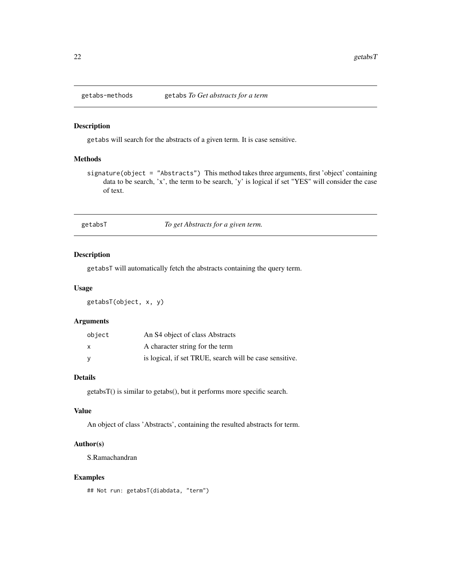<span id="page-21-0"></span>

getabs will search for the abstracts of a given term. It is case sensitive.

#### Methods

signature(object = "Abstracts") This method takes three arguments, first 'object' containing data to be search, 'x', the term to be search, 'y' is logical if set "YES" will consider the case of text.

getabsT *To get Abstracts for a given term.*

### Description

getabsT will automatically fetch the abstracts containing the query term.

#### Usage

getabsT(object, x, y)

### Arguments

| object | An S <sub>4</sub> object of class Abstracts             |
|--------|---------------------------------------------------------|
| X      | A character string for the term                         |
| - V    | is logical, if set TRUE, search will be case sensitive. |

### Details

getabsT() is similar to getabs(), but it performs more specific search.

### Value

An object of class 'Abstracts', containing the resulted abstracts for term.

#### Author(s)

S.Ramachandran

### Examples

## Not run: getabsT(diabdata, "term")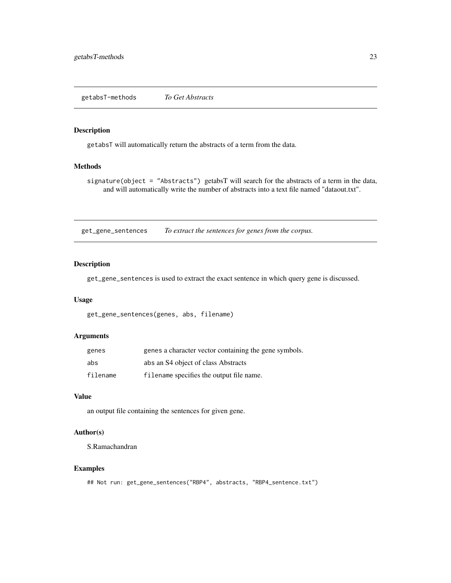<span id="page-22-0"></span>getabsT-methods *To Get Abstracts*

#### Description

getabsT will automatically return the abstracts of a term from the data.

### Methods

signature(object = "Abstracts") getabsT will search for the abstracts of a term in the data, and will automatically write the number of abstracts into a text file named "dataout.txt".

get\_gene\_sentences *To extract the sentences for genes from the corpus.*

### Description

get\_gene\_sentences is used to extract the exact sentence in which query gene is discussed.

### Usage

get\_gene\_sentences(genes, abs, filename)

### Arguments

| genes    | genes a character vector containing the gene symbols. |
|----------|-------------------------------------------------------|
| abs      | abs an S4 object of class Abstracts                   |
| filename | filename specifies the output file name.              |

### Value

an output file containing the sentences for given gene.

### Author(s)

S.Ramachandran

```
## Not run: get_gene_sentences("RBP4", abstracts, "RBP4_sentence.txt")
```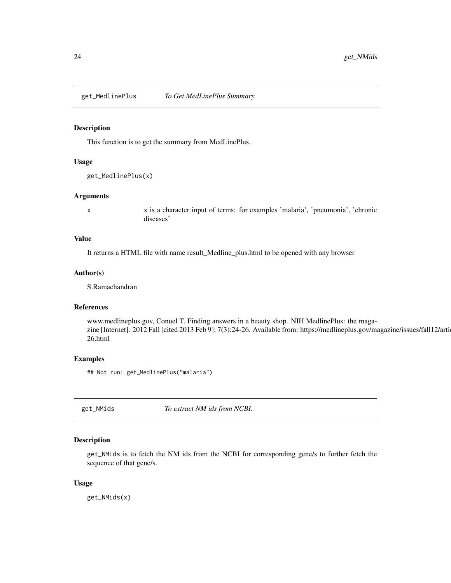<span id="page-23-0"></span>get\_MedlinePlus *To Get MedLinePlus Summary*

#### Description

This function is to get the summary from MedLinePlus.

### Usage

get\_MedlinePlus(x)

#### Arguments

x x is a character input of terms: for examples 'malaria', 'pneumonia', 'chronic diseases'

### Value

It returns a HTML file with name result\_Medline\_plus.html to be opened with any browser

### Author(s)

S.Ramachandran

### References

www.medlineplus.gov, Conuel T. Finding answers in a beauty shop. NIH MedlinePlus: the magazine [Internet]. 2012 Fall [cited 2013 Feb 9]; 7(3):24-26. Available from: https://medlineplus.gov/magazine/issues/fall12/arti 26.html

#### Examples

## Not run: get\_MedlinePlus("malaria")

<span id="page-23-1"></span>get\_NMids *To extract NM ids from NCBI.*

#### Description

get\_NMids is to fetch the NM ids from the NCBI for corresponding gene/s to further fetch the sequence of that gene/s.

#### Usage

get\_NMids(x)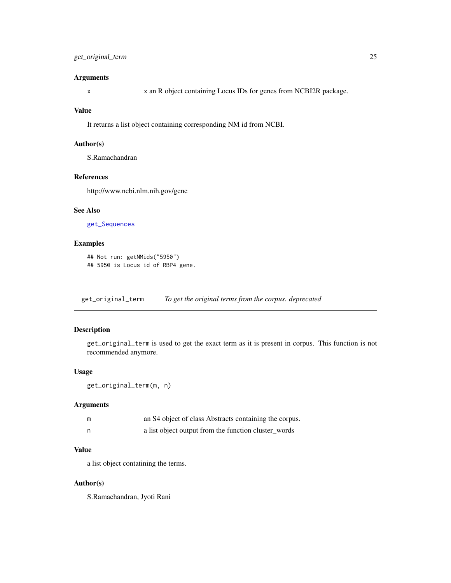### <span id="page-24-0"></span>Arguments

x x an R object containing Locus IDs for genes from NCBI2R package.

#### Value

It returns a list object containing corresponding NM id from NCBI.

#### Author(s)

S.Ramachandran

#### References

http://www.ncbi.nlm.nih.gov/gene

### See Also

[get\\_Sequences](#page-27-1)

### Examples

```
## Not run: getNMids("5950")
## 5950 is Locus id of RBP4 gene.
```
<span id="page-24-1"></span>get\_original\_term *To get the original terms from the corpus. deprecated*

#### Description

get\_original\_term is used to get the exact term as it is present in corpus. This function is not recommended anymore.

#### Usage

```
get_original_term(m, n)
```
#### Arguments

| m | an S4 object of class Abstracts containing the corpus. |
|---|--------------------------------------------------------|
| n | a list object output from the function cluster_words   |

### Value

a list object contatining the terms.

### Author(s)

S.Ramachandran, Jyoti Rani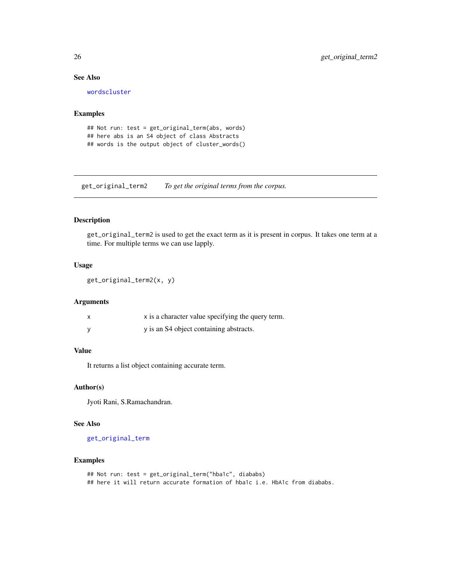### See Also

[wordscluster](#page-53-1)

### Examples

```
## Not run: test = get_original_term(abs, words)
## here abs is an S4 object of class Abstracts
## words is the output object of cluster_words()
```
get\_original\_term2 *To get the original terms from the corpus.*

#### Description

get\_original\_term2 is used to get the exact term as it is present in corpus. It takes one term at a time. For multiple terms we can use lapply.

#### Usage

```
get_original_term2(x, y)
```
#### Arguments

| x is a character value specifying the query term. |
|---------------------------------------------------|
| y is an S4 object containing abstracts.           |

#### Value

It returns a list object containing accurate term.

#### Author(s)

Jyoti Rani, S.Ramachandran.

#### See Also

[get\\_original\\_term](#page-24-1)

```
## Not run: test = get_original_term("hba1c", diababs)
## here it will return accurate formation of hba1c i.e. HbA1c from diababs.
```
<span id="page-25-0"></span>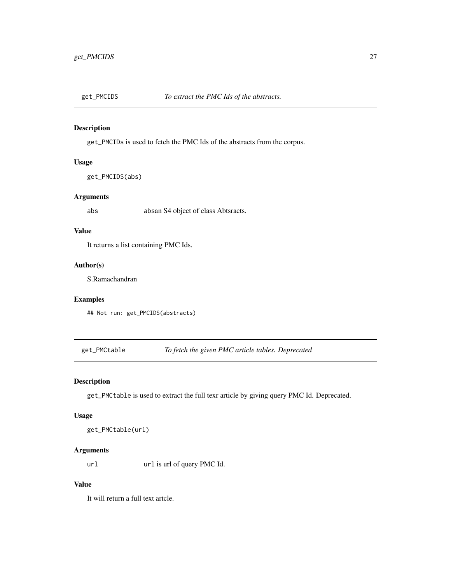<span id="page-26-1"></span><span id="page-26-0"></span>

get\_PMCIDs is used to fetch the PMC Ids of the abstracts from the corpus.

### Usage

get\_PMCIDS(abs)

### Arguments

abs absan S4 object of class Abtsracts.

### Value

It returns a list containing PMC Ids.

### Author(s)

S.Ramachandran

### Examples

## Not run: get\_PMCIDS(abstracts)

get\_PMCtable *To fetch the given PMC article tables. Deprecated*

### Description

get\_PMCtable is used to extract the full texr article by giving query PMC Id. Deprecated.

#### Usage

```
get_PMCtable(url)
```
### Arguments

url url is url of query PMC Id.

### Value

It will return a full text artcle.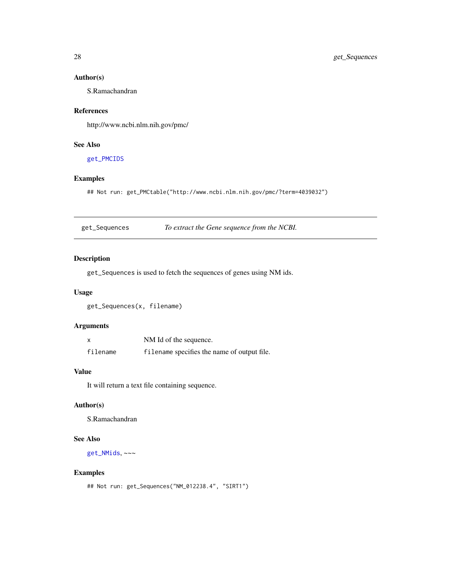### Author(s)

S.Ramachandran

### References

http://www.ncbi.nlm.nih.gov/pmc/

### See Also

[get\\_PMCIDS](#page-26-1)

### Examples

## Not run: get\_PMCtable("http://www.ncbi.nlm.nih.gov/pmc/?term=4039032")

<span id="page-27-1"></span>get\_Sequences *To extract the Gene sequence from the NCBI.*

### Description

get\_Sequences is used to fetch the sequences of genes using NM ids.

#### Usage

get\_Sequences(x, filename)

### Arguments

|          | NM Id of the sequence.                      |
|----------|---------------------------------------------|
| filename | filename specifies the name of output file. |

#### Value

It will return a text file containing sequence.

### Author(s)

S.Ramachandran

### See Also

[get\\_NMids](#page-23-1), ~~~

```
## Not run: get_Sequences("NM_012238.4", "SIRT1")
```
<span id="page-27-0"></span>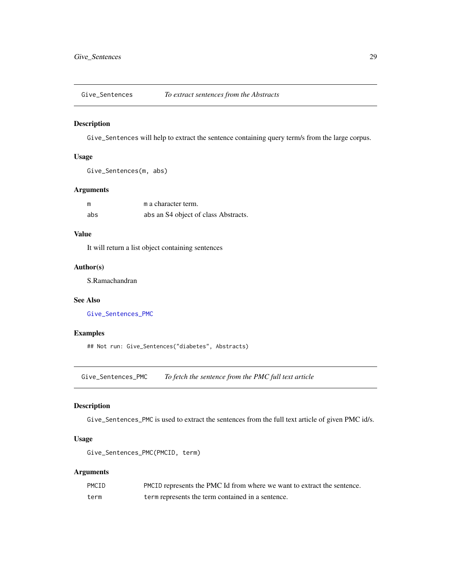<span id="page-28-0"></span>

Give\_Sentences will help to extract the sentence containing query term/s from the large corpus.

### Usage

```
Give_Sentences(m, abs)
```
### Arguments

| m   | m a character term.                  |
|-----|--------------------------------------|
| abs | abs an S4 object of class Abstracts. |

### Value

It will return a list object containing sentences

### Author(s)

S.Ramachandran

### See Also

[Give\\_Sentences\\_PMC](#page-28-1)

### Examples

## Not run: Give\_Sentences("diabetes", Abstracts)

<span id="page-28-1"></span>Give\_Sentences\_PMC *To fetch the sentence from the PMC full text article*

### Description

Give\_Sentences\_PMC is used to extract the sentences from the full text article of given PMC id/s.

#### Usage

```
Give_Sentences_PMC(PMCID, term)
```
#### Arguments

| PMCID | PMCID represents the PMC Id from where we want to extract the sentence. |
|-------|-------------------------------------------------------------------------|
| term  | term represents the term contained in a sentence.                       |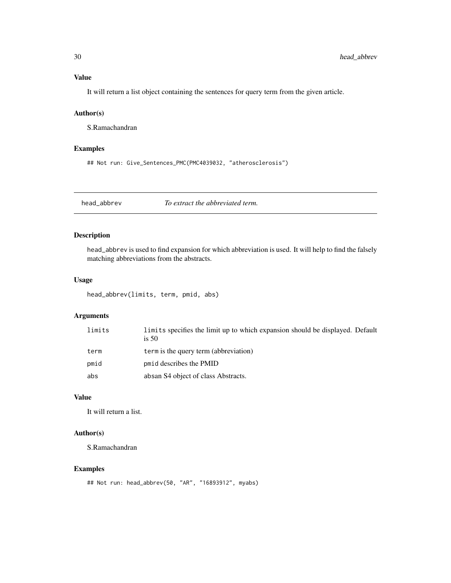### <span id="page-29-0"></span>Value

It will return a list object containing the sentences for query term from the given article.

### Author(s)

S.Ramachandran

### Examples

## Not run: Give\_Sentences\_PMC(PMC4039032, "atherosclerosis")

head\_abbrev *To extract the abbreviated term.*

### Description

head\_abbrev is used to find expansion for which abbreviation is used. It will help to find the falsely matching abbreviations from the abstracts.

### Usage

head\_abbrev(limits, term, pmid, abs)

### Arguments

| limits | limits specifies the limit up to which expansion should be displayed. Default<br>is $50$ |
|--------|------------------------------------------------------------------------------------------|
| term   | term is the query term (abbreviation)                                                    |
| pmid   | pmid describes the PMID                                                                  |
| abs    | absan S4 object of class Abstracts.                                                      |

### Value

It will return a list.

### Author(s)

S.Ramachandran

```
## Not run: head_abbrev(50, "AR", "16893912", myabs)
```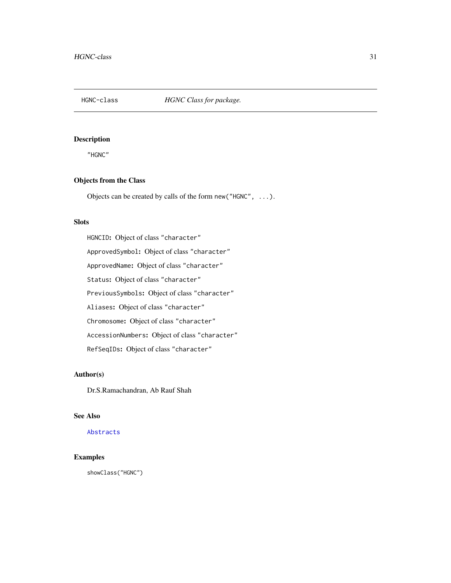<span id="page-30-0"></span>

"HGNC"

### Objects from the Class

Objects can be created by calls of the form new("HGNC", ...).

### Slots

HGNCID: Object of class "character" ApprovedSymbol: Object of class "character" ApprovedName: Object of class "character" Status: Object of class "character" PreviousSymbols: Object of class "character" Aliases: Object of class "character" Chromosome: Object of class "character" AccessionNumbers: Object of class "character" RefSeqIDs: Object of class "character"

### Author(s)

Dr.S.Ramachandran, Ab Rauf Shah

#### See Also

[Abstracts](#page-3-1)

## Examples

showClass("HGNC")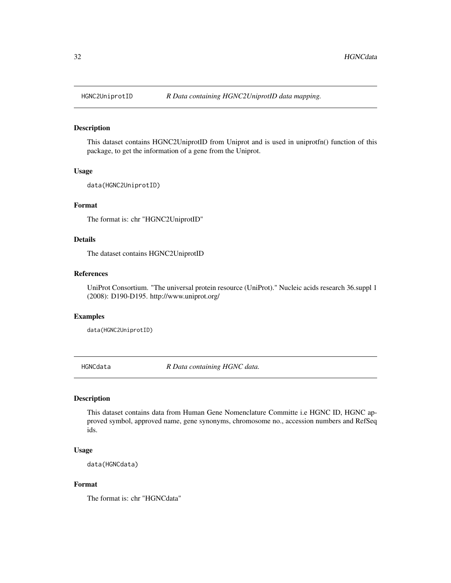<span id="page-31-0"></span>

This dataset contains HGNC2UniprotID from Uniprot and is used in uniprotfn() function of this package, to get the information of a gene from the Uniprot.

#### Usage

data(HGNC2UniprotID)

### Format

The format is: chr "HGNC2UniprotID"

### Details

The dataset contains HGNC2UniprotID

#### References

UniProt Consortium. "The universal protein resource (UniProt)." Nucleic acids research 36.suppl 1 (2008): D190-D195. http://www.uniprot.org/

#### Examples

data(HGNC2UniprotID)

HGNCdata *R Data containing HGNC data.*

#### Description

This dataset contains data from Human Gene Nomenclature Committe i.e HGNC ID, HGNC approved symbol, approved name, gene synonyms, chromosome no., accession numbers and RefSeq ids.

#### Usage

data(HGNCdata)

### Format

The format is: chr "HGNCdata"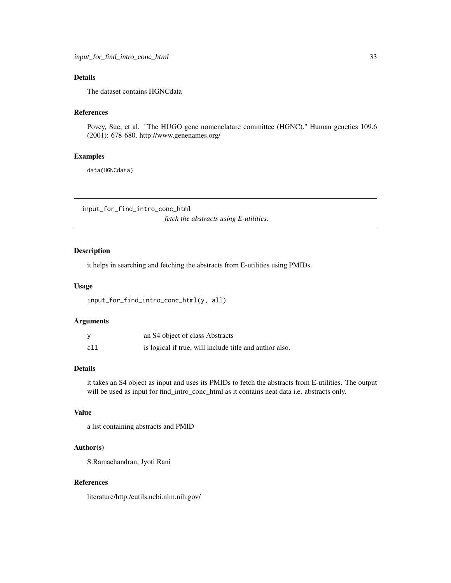### <span id="page-32-0"></span>Details

The dataset contains HGNCdata

#### References

Povey, Sue, et al. "The HUGO gene nomenclature committee (HGNC)." Human genetics 109.6 (2001): 678-680. http://www.genenames.org/

#### Examples

data(HGNCdata)

<span id="page-32-1"></span>input\_for\_find\_intro\_conc\_html

*fetch the abstracts using E-utilities.*

### Description

it helps in searching and fetching the abstracts from E-utilities using PMIDs.

### Usage

input\_for\_find\_intro\_conc\_html(y, all)

### Arguments

|     | an S4 object of class Abstracts                         |
|-----|---------------------------------------------------------|
| all | is logical if true, will include title and author also. |

### Details

it takes an S4 object as input and uses its PMIDs to fetch the abstracts from E-utilities. The output will be used as input for find\_intro\_conc\_html as it contains neat data i.e. abstracts only.

### Value

a list containing abstracts and PMID

#### Author(s)

S.Ramachandran, Jyoti Rani

### References

literature/http:/eutils.ncbi.nlm.nih.gov/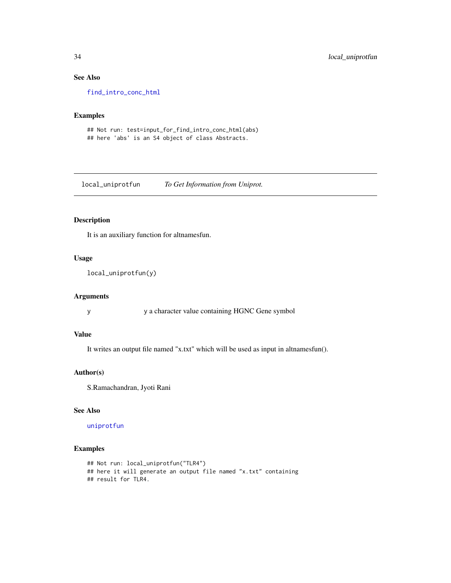### See Also

[find\\_intro\\_conc\\_html](#page-15-1)

### Examples

## Not run: test=input\_for\_find\_intro\_conc\_html(abs) ## here 'abs' is an S4 object of class Abstracts.

local\_uniprotfun *To Get Information from Uniprot.*

### Description

It is an auxiliary function for altnamesfun.

#### Usage

```
local_uniprotfun(y)
```
### Arguments

y y a character value containing HGNC Gene symbol

#### Value

It writes an output file named "x.txt" which will be used as input in altnamesfun().

### Author(s)

S.Ramachandran, Jyoti Rani

### See Also

### [uniprotfun](#page-52-1)

```
## Not run: local_uniprotfun("TLR4")
## here it will generate an output file named "x.txt" containing
## result for TLR4.
```
<span id="page-33-0"></span>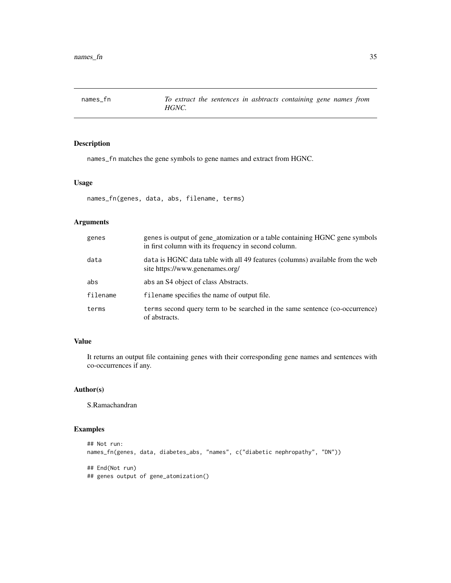<span id="page-34-1"></span><span id="page-34-0"></span>

names\_fn matches the gene symbols to gene names and extract from HGNC.

### Usage

names\_fn(genes, data, abs, filename, terms)

### Arguments

| genes    | genes is output of gene_atomization or a table containing HGNC gene symbols<br>in first column with its frequency in second column. |
|----------|-------------------------------------------------------------------------------------------------------------------------------------|
| data     | data is HGNC data table with all 49 features (columns) available from the web<br>site https://www.genenames.org/                    |
| abs      | abs an S4 object of class Abstracts.                                                                                                |
| filename | filename specifies the name of output file.                                                                                         |
| terms    | terms second query term to be searched in the same sentence (co-occurrence)<br>of abstracts.                                        |

### Value

It returns an output file containing genes with their corresponding gene names and sentences with co-occurrences if any.

### Author(s)

S.Ramachandran

```
## Not run:
names_fn(genes, data, diabetes_abs, "names", c("diabetic nephropathy", "DN"))
## End(Not run)
## genes output of gene_atomization()
```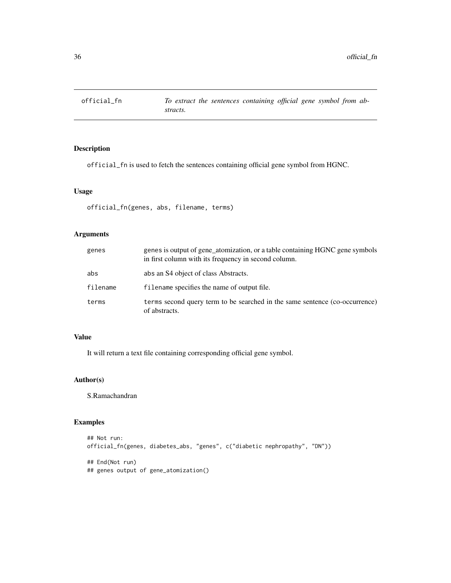<span id="page-35-1"></span><span id="page-35-0"></span>

official\_fn is used to fetch the sentences containing official gene symbol from HGNC.

### Usage

official\_fn(genes, abs, filename, terms)

### Arguments

| genes    | genes is output of gene_atomization, or a table containing HGNC gene symbols<br>in first column with its frequency in second column. |
|----------|--------------------------------------------------------------------------------------------------------------------------------------|
| abs      | abs an S4 object of class Abstracts.                                                                                                 |
| filename | filename specifies the name of output file.                                                                                          |
| terms    | terms second query term to be searched in the same sentence (co-occurrence)<br>of abstracts.                                         |

### Value

It will return a text file containing corresponding official gene symbol.

### Author(s)

S.Ramachandran

```
## Not run:
official_fn(genes, diabetes_abs, "genes", c("diabetic nephropathy", "DN"))
## End(Not run)
## genes output of gene_atomization()
```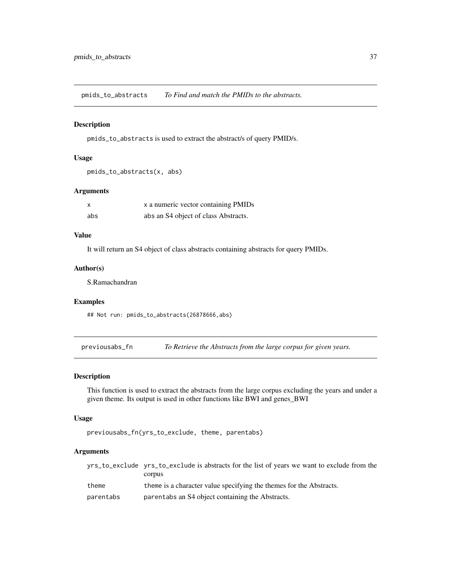<span id="page-36-0"></span>pmids\_to\_abstracts *To Find and match the PMIDs to the abstracts.*

#### Description

pmids\_to\_abstracts is used to extract the abstract/s of query PMID/s.

### Usage

```
pmids_to_abstracts(x, abs)
```
### Arguments

| $\mathsf{x}$ | x a numeric vector containing PMIDs  |
|--------------|--------------------------------------|
| abs          | abs an S4 object of class Abstracts. |

### Value

It will return an S4 object of class abstracts containing abstracts for query PMIDs.

### Author(s)

S.Ramachandran

### Examples

## Not run: pmids\_to\_abstracts(26878666,abs)

<span id="page-36-1"></span>previousabs\_fn *To Retrieve the Abstracts from the large corpus for given years.*

### Description

This function is used to extract the abstracts from the large corpus excluding the years and under a given theme. Its output is used in other functions like BWI and genes\_BWI

#### Usage

```
previousabs_fn(yrs_to_exclude, theme, parentabs)
```
### Arguments

|           | yrs_to_exclude yrs_to_exclude is abstracts for the list of years we want to exclude from the |
|-----------|----------------------------------------------------------------------------------------------|
|           | corpus                                                                                       |
| theme     | theme is a character value specifying the themes for the Abstracts.                          |
| parentabs | parentabs an S4 object containing the Abstracts.                                             |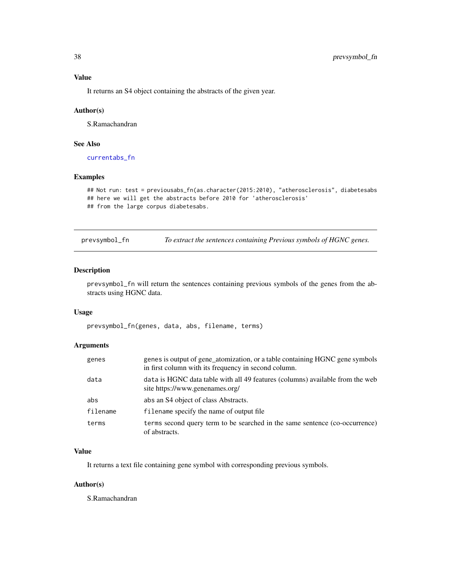### <span id="page-37-0"></span>Value

It returns an S4 object containing the abstracts of the given year.

#### Author(s)

S.Ramachandran

### See Also

[currentabs\\_fn](#page-14-1)

#### Examples

```
## Not run: test = previousabs_fn(as.character(2015:2010), "atherosclerosis", diabetesabs
## here we will get the abstracts before 2010 for 'atherosclerosis'
## from the large corpus diabetesabs.
```
<span id="page-37-1"></span>prevsymbol\_fn *To extract the sentences containing Previous symbols of HGNC genes.*

#### Description

prevsymbol\_fn will return the sentences containing previous symbols of the genes from the abstracts using HGNC data.

#### Usage

prevsymbol\_fn(genes, data, abs, filename, terms)

#### Arguments

| genes    | genes is output of gene_atomization, or a table containing HGNC gene symbols<br>in first column with its frequency in second column. |
|----------|--------------------------------------------------------------------------------------------------------------------------------------|
| data     | data is HGNC data table with all 49 features (columns) available from the web<br>site https://www.genenames.org/                     |
| abs      | abs an S4 object of class Abstracts.                                                                                                 |
| filename | filename specify the name of output file                                                                                             |
| terms    | terms second query term to be searched in the same sentence (co-occurrence)<br>of abstracts.                                         |

### Value

It returns a text file containing gene symbol with corresponding previous symbols.

### Author(s)

S.Ramachandran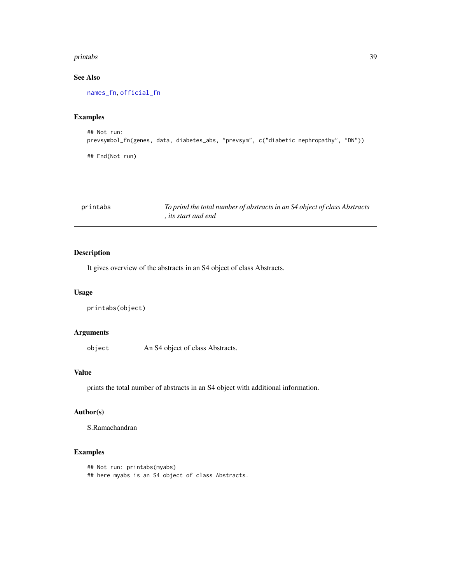#### <span id="page-38-0"></span>printabs 39

### See Also

[names\\_fn](#page-34-1), [official\\_fn](#page-35-1)

### Examples

```
## Not run:
prevsymbol_fn(genes, data, diabetes_abs, "prevsym", c("diabetic nephropathy", "DN"))
## End(Not run)
```

| printabs | To prind the total number of abstracts in an S4 object of class Abstracts |
|----------|---------------------------------------------------------------------------|
|          | , its start and end                                                       |

### Description

It gives overview of the abstracts in an S4 object of class Abstracts.

#### Usage

```
printabs(object)
```
### Arguments

object An S4 object of class Abstracts.

### Value

prints the total number of abstracts in an S4 object with additional information.

### Author(s)

S.Ramachandran

```
## Not run: printabs(myabs)
## here myabs is an S4 object of class Abstracts.
```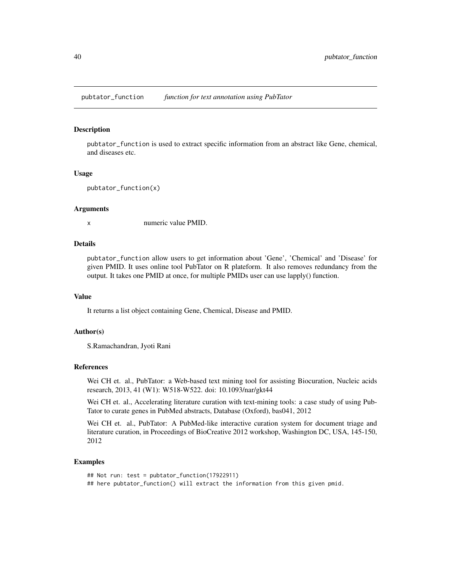<span id="page-39-1"></span><span id="page-39-0"></span>pubtator\_function *function for text annotation using PubTator*

#### **Description**

pubtator\_function is used to extract specific information from an abstract like Gene, chemical, and diseases etc.

#### Usage

```
pubtator_function(x)
```
#### Arguments

x numeric value PMID.

#### Details

pubtator\_function allow users to get information about 'Gene', 'Chemical' and 'Disease' for given PMID. It uses online tool PubTator on R plateform. It also removes redundancy from the output. It takes one PMID at once, for multiple PMIDs user can use lapply() function.

#### Value

It returns a list object containing Gene, Chemical, Disease and PMID.

#### Author(s)

S.Ramachandran, Jyoti Rani

#### References

Wei CH et. al., PubTator: a Web-based text mining tool for assisting Biocuration, Nucleic acids research, 2013, 41 (W1): W518-W522. doi: 10.1093/nar/gkt44

Wei CH et. al., Accelerating literature curation with text-mining tools: a case study of using Pub-Tator to curate genes in PubMed abstracts, Database (Oxford), bas041, 2012

Wei CH et. al., PubTator: A PubMed-like interactive curation system for document triage and literature curation, in Proceedings of BioCreative 2012 workshop, Washington DC, USA, 145-150, 2012

```
## Not run: test = pubtator_function(17922911)
## here pubtator_function() will extract the information from this given pmid.
```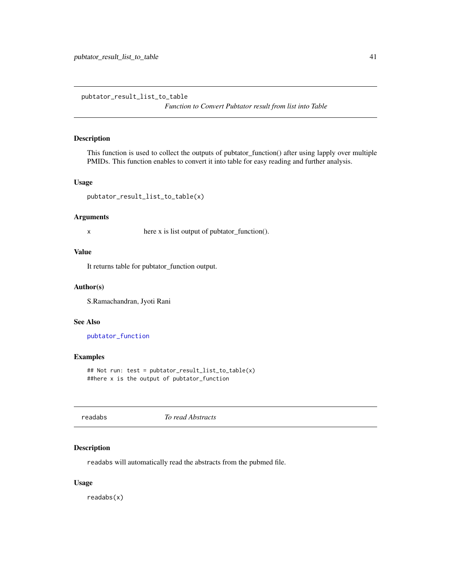<span id="page-40-0"></span>pubtator\_result\_list\_to\_table

*Function to Convert Pubtator result from list into Table*

### Description

This function is used to collect the outputs of pubtator\_function() after using lapply over multiple PMIDs. This function enables to convert it into table for easy reading and further analysis.

### Usage

```
pubtator_result_list_to_table(x)
```
#### Arguments

x here x is list output of pubtator\_function().

#### Value

It returns table for pubtator\_function output.

#### Author(s)

S.Ramachandran, Jyoti Rani

#### See Also

[pubtator\\_function](#page-39-1)

### Examples

## Not run: test = pubtator\_result\_list\_to\_table(x) ##here x is the output of pubtator\_function

<span id="page-40-1"></span>readabs *To read Abstracts*

#### Description

readabs will automatically read the abstracts from the pubmed file.

### Usage

readabs(x)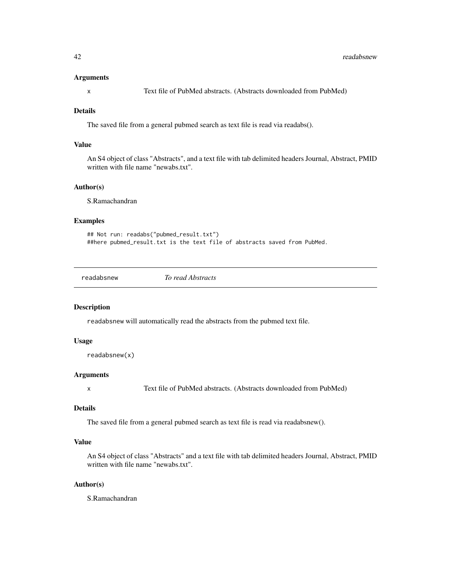#### <span id="page-41-0"></span>Arguments

x Text file of PubMed abstracts. (Abstracts downloaded from PubMed)

#### Details

The saved file from a general pubmed search as text file is read via readabs().

### Value

An S4 object of class "Abstracts", and a text file with tab delimited headers Journal, Abstract, PMID written with file name "newabs.txt".

### Author(s)

S.Ramachandran

#### Examples

```
## Not run: readabs("pubmed_result.txt")
##here pubmed_result.txt is the text file of abstracts saved from PubMed.
```
readabsnew *To read Abstracts*

#### Description

readabsnew will automatically read the abstracts from the pubmed text file.

### Usage

```
readabsnew(x)
```
#### Arguments

x Text file of PubMed abstracts. (Abstracts downloaded from PubMed)

#### Details

The saved file from a general pubmed search as text file is read via readabsnew().

### Value

An S4 object of class "Abstracts" and a text file with tab delimited headers Journal, Abstract, PMID written with file name "newabs.txt".

#### Author(s)

S.Ramachandran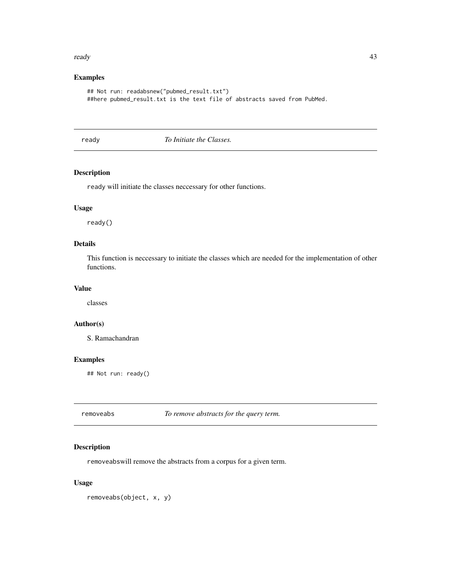#### <span id="page-42-0"></span>ready and the contract of the contract of the contract of the contract of the contract of the contract of the contract of the contract of the contract of the contract of the contract of the contract of the contract of the

### Examples

```
## Not run: readabsnew("pubmed_result.txt")
##here pubmed_result.txt is the text file of abstracts saved from PubMed.
```
ready *To Initiate the Classes.*

#### Description

ready will initiate the classes neccessary for other functions.

#### Usage

ready()

### Details

This function is neccessary to initiate the classes which are needed for the implementation of other functions.

### Value

classes

### Author(s)

S. Ramachandran

### Examples

## Not run: ready()

removeabs *To remove abstracts for the query term.*

#### Description

removeabswill remove the abstracts from a corpus for a given term.

### Usage

removeabs(object, x, y)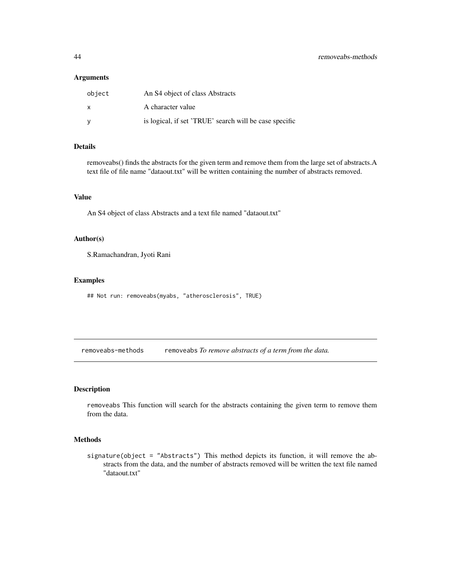### <span id="page-43-0"></span>Arguments

| object | An S4 object of class Abstracts                        |
|--------|--------------------------------------------------------|
| X      | A character value                                      |
|        | is logical, if set 'TRUE' search will be case specific |

### Details

removeabs() finds the abstracts for the given term and remove them from the large set of abstracts.A text file of file name "dataout.txt" will be written containing the number of abstracts removed.

### Value

An S4 object of class Abstracts and a text file named "dataout.txt"

### Author(s)

S.Ramachandran, Jyoti Rani

#### Examples

## Not run: removeabs(myabs, "atherosclerosis", TRUE)

removeabs-methods removeabs *To remove abstracts of a term from the data.*

#### Description

removeabs This function will search for the abstracts containing the given term to remove them from the data.

#### Methods

signature(object = "Abstracts") This method depicts its function, it will remove the abstracts from the data, and the number of abstracts removed will be written the text file named "dataout.txt"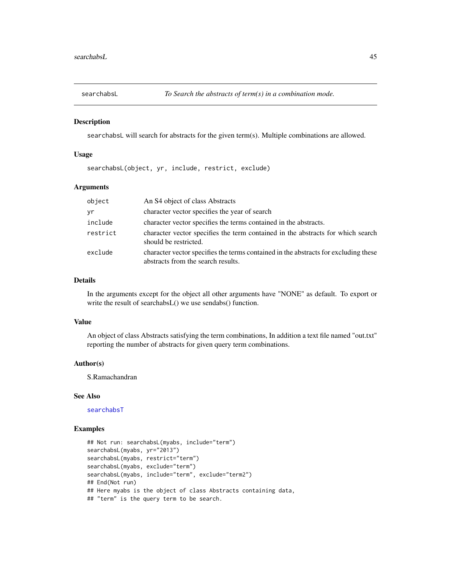<span id="page-44-1"></span><span id="page-44-0"></span>

searchabsL will search for abstracts for the given term(s). Multiple combinations are allowed.

#### Usage

searchabsL(object, yr, include, restrict, exclude)

#### Arguments

| object   | An S4 object of class Abstracts                                                                                           |
|----------|---------------------------------------------------------------------------------------------------------------------------|
| yr       | character vector specifies the year of search                                                                             |
| include  | character vector specifies the terms contained in the abstracts.                                                          |
| restrict | character vector specifies the term contained in the abstracts for which search<br>should be restricted.                  |
| exclude  | character vector specifies the terms contained in the abstracts for excluding these<br>abstracts from the search results. |

### Details

In the arguments except for the object all other arguments have "NONE" as default. To export or write the result of searchabsL() we use sendabs() function.

#### Value

An object of class Abstracts satisfying the term combinations, In addition a text file named "out.txt" reporting the number of abstracts for given query term combinations.

#### Author(s)

S.Ramachandran

#### See Also

[searchabsT](#page-45-1)

```
## Not run: searchabsL(myabs, include="term")
searchabsL(myabs, yr="2013")
searchabsL(myabs, restrict="term")
searchabsL(myabs, exclude="term")
searchabsL(myabs, include="term", exclude="term2")
## End(Not run)
## Here myabs is the object of class Abstracts containing data,
## "term" is the query term to be search.
```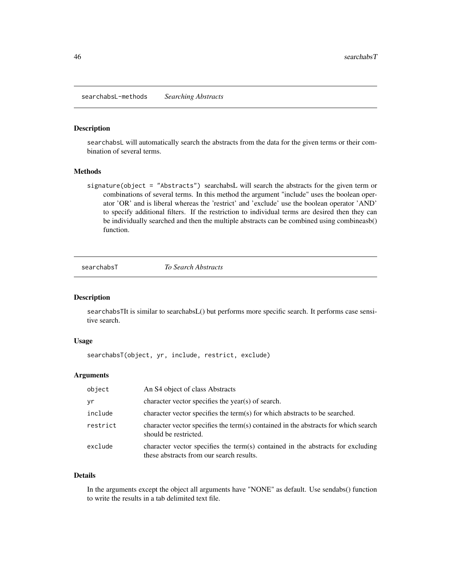<span id="page-45-0"></span>searchabsL-methods *Searching Abstracts*

#### Description

searchabsL will automatically search the abstracts from the data for the given terms or their combination of several terms.

#### Methods

signature(object = "Abstracts") searchabsL will search the abstracts for the given term or combinations of several terms. In this method the argument "include" uses the boolean operator 'OR' and is liberal whereas the 'restrict' and 'exclude' use the boolean operator 'AND' to specify additional filters. If the restriction to individual terms are desired then they can be individually searched and then the multiple abstracts can be combined using combineasb() function.

<span id="page-45-1"></span>searchabsT *To Search Abstracts*

#### Description

searchabsTIt is similar to searchabsL() but performs more specific search. It performs case sensitive search.

### Usage

searchabsT(object, yr, include, restrict, exclude)

#### Arguments

| object   | An S4 object of class Abstracts                                                                                             |
|----------|-----------------------------------------------------------------------------------------------------------------------------|
| yr       | character vector specifies the year(s) of search.                                                                           |
| include  | character vector specifies the term(s) for which abstracts to be searched.                                                  |
| restrict | character vector specifies the term(s) contained in the abstracts for which search<br>should be restricted.                 |
| exclude  | character vector specifies the term(s) contained in the abstracts for excluding<br>these abstracts from our search results. |

#### Details

In the arguments except the object all arguments have "NONE" as default. Use sendabs() function to write the results in a tab delimited text file.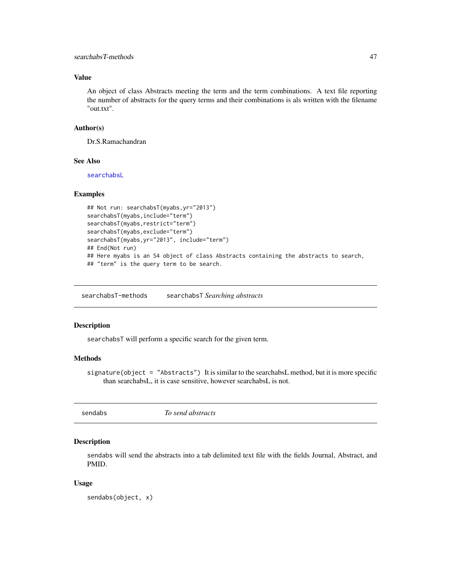### <span id="page-46-0"></span>Value

An object of class Abstracts meeting the term and the term combinations. A text file reporting the number of abstracts for the query terms and their combinations is als written with the filename "out.txt".

#### Author(s)

Dr.S.Ramachandran

#### See Also

[searchabsL](#page-44-1)

#### Examples

```
## Not run: searchabsT(myabs,yr="2013")
searchabsT(myabs,include="term")
searchabsT(myabs,restrict="term")
searchabsT(myabs,exclude="term")
searchabsT(myabs,yr="2013", include="term")
## End(Not run)
## Here myabs is an S4 object of class Abstracts containing the abstracts to search,
## "term" is the query term to be search.
```
searchabsT-methods searchabsT *Searching abstracts*

#### Description

searchabsT will perform a specific search for the given term.

### Methods

signature(object = "Abstracts") It is similar to the searchabsL method, but it is more specific than searchabsL, it is case sensitive, however searchabsL is not.

sendabs *To send abstracts*

### Description

sendabs will send the abstracts into a tab delimited text file with the fields Journal, Abstract, and PMID.

#### Usage

sendabs(object, x)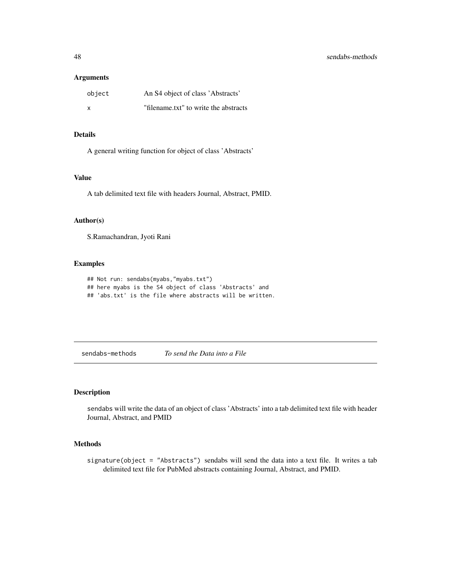### <span id="page-47-0"></span>Arguments

| object | An S4 object of class 'Abstracts'     |
|--------|---------------------------------------|
| X      | "filename.txt" to write the abstracts |

### Details

A general writing function for object of class 'Abstracts'

### Value

A tab delimited text file with headers Journal, Abstract, PMID.

### Author(s)

S.Ramachandran, Jyoti Rani

### Examples

```
## Not run: sendabs(myabs,"myabs.txt")
## here myabs is the S4 object of class 'Abstracts' and
## 'abs.txt' is the file where abstracts will be written.
```
sendabs-methods *To send the Data into a File*

#### Description

sendabs will write the data of an object of class 'Abstracts' into a tab delimited text file with header Journal, Abstract, and PMID

#### Methods

signature(object = "Abstracts") sendabs will send the data into a text file. It writes a tab delimited text file for PubMed abstracts containing Journal, Abstract, and PMID.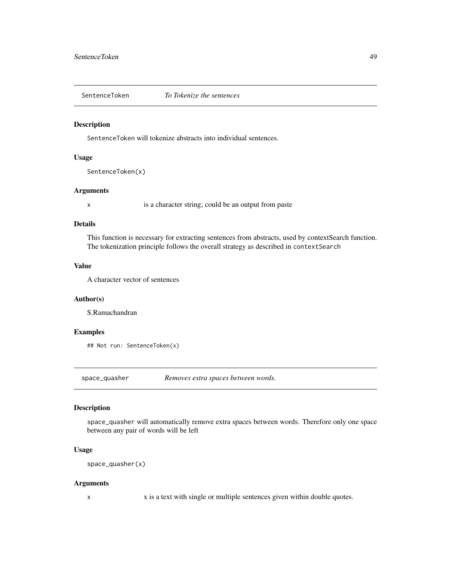<span id="page-48-0"></span>SentenceToken *To Tokenize the sentences*

#### Description

SentenceToken will tokenize abstracts into individual sentences.

### Usage

```
SentenceToken(x)
```
### Arguments

x is a character string; could be an output from paste

### Details

This function is necessary for extracting sentences from abstracts, used by contextSearch function. The tokenization principle follows the overall strategy as described in contextSearch

#### Value

A character vector of sentences

#### Author(s)

S.Ramachandran

### Examples

```
## Not run: SentenceToken(x)
```
space\_quasher *Removes extra spaces between words.*

#### Description

space\_quasher will automatically remove extra spaces between words. Therefore only one space between any pair of words will be left

### Usage

```
space_quasher(x)
```
#### Arguments

x x is a text with single or multiple sentences given within double quotes.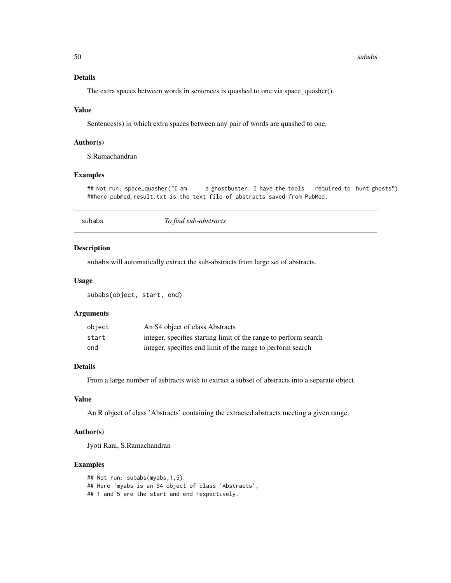#### 50 subabs and the subabs of the subabs of the subabs subabs subabs subabs subabs subabs subabs subabs subabs subabs subabs subabs subabs subabs subabs subabs subabs subabs subabs subabs subabs subabs subabs subabs subabs s

### Details

The extra spaces between words in sentences is quashed to one via space\_quasher().

#### Value

Sentences(s) in which extra spaces between any pair of words are quashed to one.

### Author(s)

S.Ramachandran

### Examples

## Not run: space\_quasher("I am a ghostbuster. I have the tools required to hunt ghosts") ##here pubmed\_result.txt is the text file of abstracts saved from PubMed.

<span id="page-49-1"></span>

subabs *To find sub-abstracts*

#### Description

subabs will automatically extract the sub-abstracts from large set of abstracts.

#### Usage

subabs(object, start, end)

#### Arguments

| object | An S4 object of class Abstracts                                  |
|--------|------------------------------------------------------------------|
| start  | integer, specifies starting limit of the range to perform search |
| end    | integer, specifies end limit of the range to perform search      |

### Details

From a large number of asbtracts wish to extract a subset of abstracts into a separate object.

#### Value

An R object of class 'Abstracts' containing the extracted abstracts meeting a given range.

### Author(s)

Jyoti Rani, S.Ramachandran

```
## Not run: subabs(myabs,1,5)
## Here 'myabs is an S4 object of class 'Abstracts',
## 1 and 5 are the start and end respectively.
```
<span id="page-49-0"></span>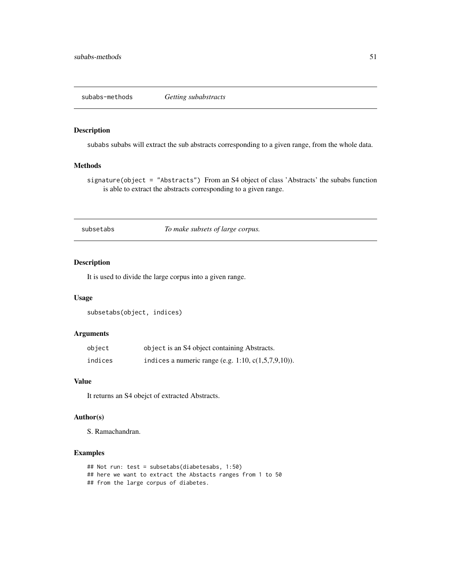<span id="page-50-0"></span>subabs-methods *Getting subabstracts*

#### Description

subabs subabs will extract the sub abstracts corresponding to a given range, from the whole data.

### Methods

signature(object = "Abstracts") From an S4 object of class 'Abstracts' the subabs function is able to extract the abstracts corresponding to a given range.

<span id="page-50-1"></span>subsetabs *To make subsets of large corpus.*

### Description

It is used to divide the large corpus into a given range.

### Usage

subsetabs(object, indices)

### Arguments

| object  | object is an S4 object containing Abstracts.           |
|---------|--------------------------------------------------------|
| indices | indices a numeric range (e.g. 1:10, $c(1,5,7,9,10)$ ). |

### Value

It returns an S4 obejct of extracted Abstracts.

### Author(s)

S. Ramachandran.

```
## Not run: test = subsetabs(diabetesabs, 1:50)
## here we want to extract the Abstacts ranges from 1 to 50
## from the large corpus of diabetes.
```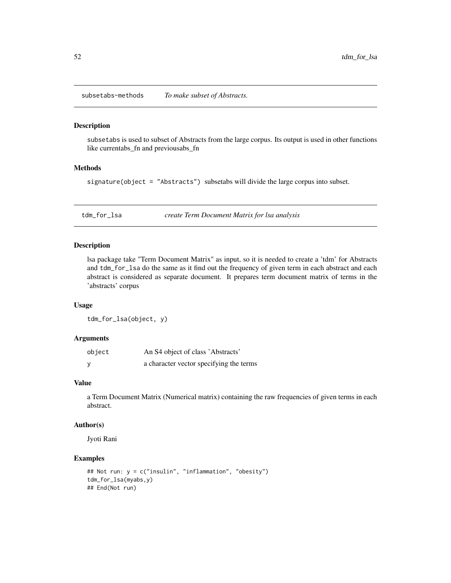<span id="page-51-0"></span>subsetabs-methods *To make subset of Abstracts.*

### Description

subsetabs is used to subset of Abstracts from the large corpus. Its output is used in other functions like currentabs\_fn and previousabs\_fn

### Methods

signature(object = "Abstracts") subsetabs will divide the large corpus into subset.

<span id="page-51-1"></span>tdm\_for\_lsa *create Term Document Matrix for lsa analysis*

#### Description

lsa package take "Term Document Matrix" as input, so it is needed to create a 'tdm' for Abstracts and tdm\_for\_lsa do the same as it find out the frequency of given term in each abstract and each abstract is considered as separate document. It prepares term document matrix of terms in the 'abstracts' corpus

#### Usage

tdm\_for\_lsa(object, y)

#### Arguments

| object | An S4 object of class 'Abstracts'       |
|--------|-----------------------------------------|
|        | a character vector specifying the terms |

#### Value

a Term Document Matrix (Numerical matrix) containing the raw frequencies of given terms in each abstract.

### Author(s)

Jyoti Rani

```
## Not run: y = c("insulin", "inflammation", "obesity")
tdm_for_lsa(myabs,y)
## End(Not run)
```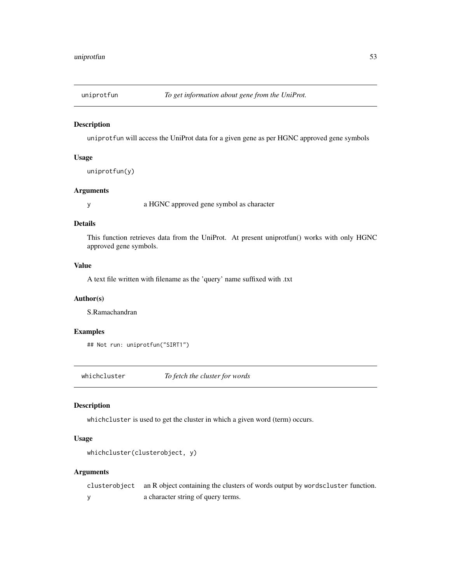<span id="page-52-1"></span><span id="page-52-0"></span>

uniprotfun will access the UniProt data for a given gene as per HGNC approved gene symbols

### Usage

```
uniprotfun(y)
```
### Arguments

y a HGNC approved gene symbol as character

### Details

This function retrieves data from the UniProt. At present uniprotfun() works with only HGNC approved gene symbols.

### Value

A text file written with filename as the 'query' name suffixed with .txt

#### Author(s)

S.Ramachandran

### Examples

## Not run: uniprotfun("SIRT1")

<span id="page-52-2"></span>whichcluster *To fetch the cluster for words*

### Description

whichcluster is used to get the cluster in which a given word (term) occurs.

#### Usage

```
whichcluster(clusterobject, y)
```
#### Arguments

clusterobject an R object containing the clusters of words output by wordscluster function. y a character string of query terms.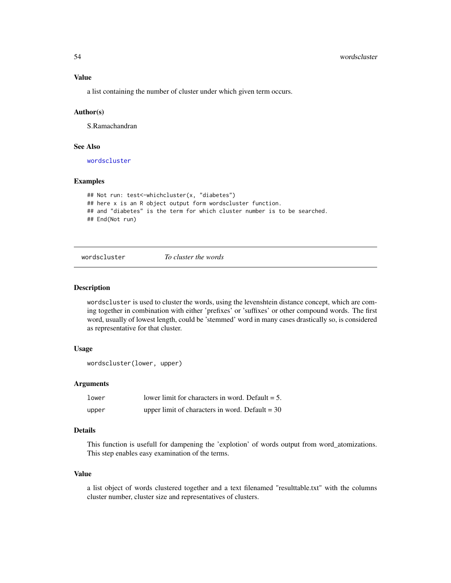<span id="page-53-0"></span>a list containing the number of cluster under which given term occurs.

#### Author(s)

S.Ramachandran

### See Also

[wordscluster](#page-53-1)

### Examples

```
## Not run: test<-whichcluster(x, "diabetes")
## here x is an R object output form wordscluster function.
## and "diabetes" is the term for which cluster number is to be searched.
## End(Not run)
```
<span id="page-53-1"></span>

wordscluster *To cluster the words*

### Description

wordscluster is used to cluster the words, using the levenshtein distance concept, which are coming together in combination with either 'prefixes' or 'suffixes' or other compound words. The first word, usually of lowest length, could be 'stemmed' word in many cases drastically so, is considered as representative for that cluster.

#### Usage

```
wordscluster(lower, upper)
```
#### Arguments

| lower | lower limit for characters in word. Default $= 5$ . |
|-------|-----------------------------------------------------|
| upper | upper limit of characters in word. Default = $30$   |

#### Details

This function is usefull for dampening the 'explotion' of words output from word\_atomizations. This step enables easy examination of the terms.

#### Value

a list object of words clustered together and a text filenamed "resulttable.txt" with the columns cluster number, cluster size and representatives of clusters.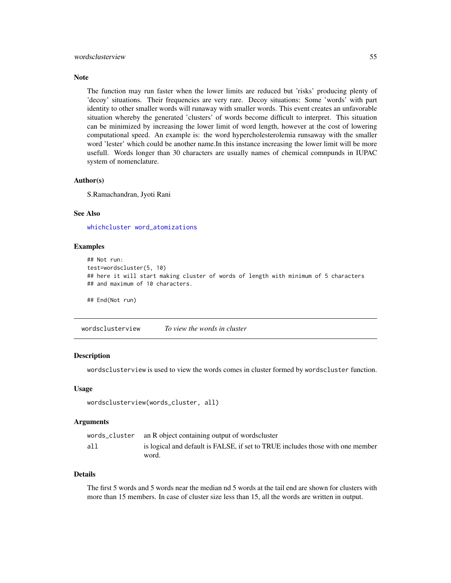#### <span id="page-54-0"></span>wordsclusterview 55

#### **Note**

The function may run faster when the lower limits are reduced but 'risks' producing plenty of 'decoy' situations. Their frequencies are very rare. Decoy situations: Some 'words' with part identity to other smaller words will runaway with smaller words. This event creates an unfavorable situation whereby the generated 'clusters' of words become difficult to interpret. This situation can be minimized by increasing the lower limit of word length, however at the cost of lowering computational speed. An example is: the word hypercholesterolemia runsaway with the smaller word 'lester' which could be another name.In this instance increasing the lower limit will be more usefull. Words longer than 30 characters are usually names of chemical comnpunds in IUPAC system of nomenclature.

#### Author(s)

S.Ramachandran, Jyoti Rani

#### See Also

[whichcluster](#page-52-2) [word\\_atomizations](#page-55-1)

#### Examples

```
## Not run:
test=wordscluster(5, 10)
## here it will start making cluster of words of length with minimum of 5 characters
## and maximum of 10 characters.
## End(Not run)
```
wordsclusterview *To view the words in cluster*

#### Description

wordsclusterview is used to view the words comes in cluster formed by wordscluster function.

#### Usage

```
wordsclusterview(words_cluster, all)
```
#### Arguments

|     | words_cluster an R object containing output of wordscluster                             |
|-----|-----------------------------------------------------------------------------------------|
| all | is logical and default is FALSE, if set to TRUE includes those with one member<br>word. |

#### Details

The first 5 words and 5 words near the median nd 5 words at the tail end are shown for clusters with more than 15 members. In case of cluster size less than 15, all the words are written in output.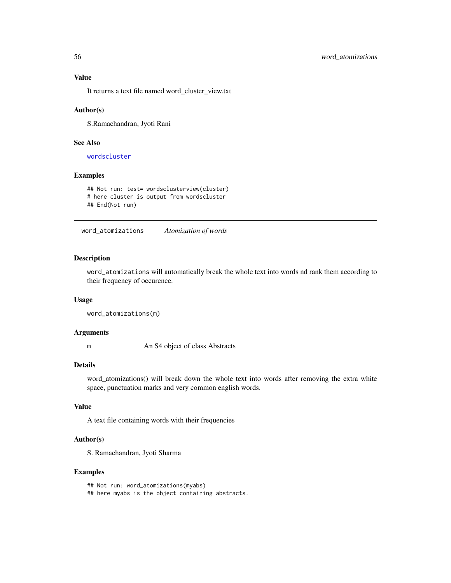<span id="page-55-0"></span>It returns a text file named word\_cluster\_view.txt

#### Author(s)

S.Ramachandran, Jyoti Rani

### See Also

[wordscluster](#page-53-1)

### Examples

## Not run: test= wordsclusterview(cluster) # here cluster is output from wordscluster ## End(Not run)

<span id="page-55-1"></span>word\_atomizations *Atomization of words*

### Description

word\_atomizations will automatically break the whole text into words nd rank them according to their frequency of occurence.

### Usage

```
word_atomizations(m)
```
### Arguments

m An S4 object of class Abstracts

#### Details

word\_atomizations() will break down the whole text into words after removing the extra white space, punctuation marks and very common english words.

### Value

A text file containing words with their frequencies

#### Author(s)

S. Ramachandran, Jyoti Sharma

#### Examples

## Not run: word\_atomizations(myabs) ## here myabs is the object containing abstracts.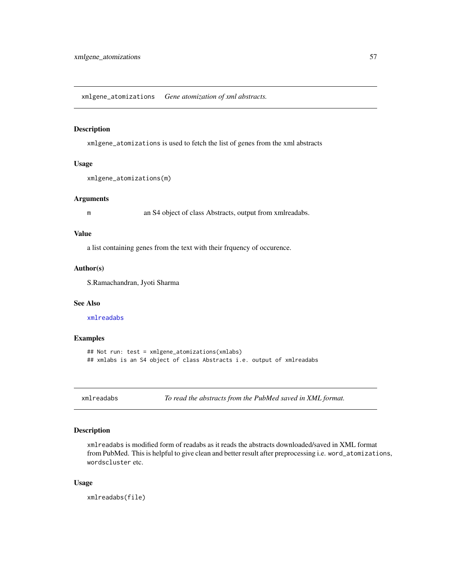<span id="page-56-0"></span>xmlgene\_atomizations *Gene atomization of xml abstracts.*

### Description

xmlgene\_atomizations is used to fetch the list of genes from the xml abstracts

#### Usage

```
xmlgene_atomizations(m)
```
### Arguments

m an S4 object of class Abstracts, output from xmlreadabs.

#### Value

a list containing genes from the text with their frquency of occurence.

#### Author(s)

S.Ramachandran, Jyoti Sharma

#### See Also

[xmlreadabs](#page-56-1)

#### Examples

```
## Not run: test = xmlgene_atomizations(xmlabs)
## xmlabs is an S4 object of class Abstracts i.e. output of xmlreadabs
```
<span id="page-56-1"></span>

xmlreadabs *To read the abstracts from the PubMed saved in XML format.*

#### Description

xmlreadabs is modified form of readabs as it reads the abstracts downloaded/saved in XML format from PubMed. This is helpful to give clean and better result after preprocessing i.e. word\_atomizations, wordscluster etc.

### Usage

xmlreadabs(file)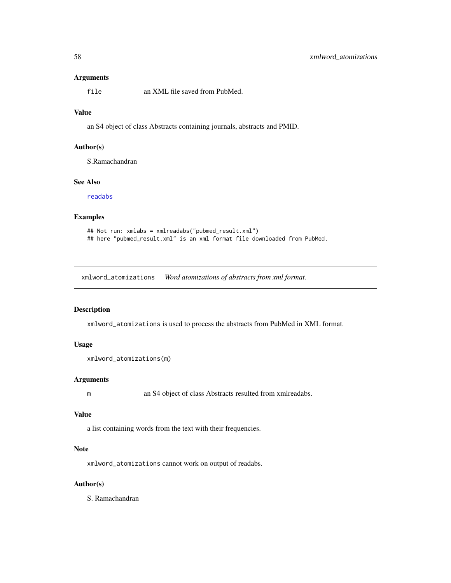#### <span id="page-57-0"></span>Arguments

file an XML file saved from PubMed.

#### Value

an S4 object of class Abstracts containing journals, abstracts and PMID.

#### Author(s)

S.Ramachandran

### See Also

[readabs](#page-40-1)

### Examples

```
## Not run: xmlabs = xmlreadabs("pubmed_result.xml")
## here "pubmed_result.xml" is an xml format file downloaded from PubMed.
```
xmlword\_atomizations *Word atomizations of abstracts from xml format.*

### Description

xmlword\_atomizations is used to process the abstracts from PubMed in XML format.

### Usage

```
xmlword_atomizations(m)
```
#### Arguments

m an S4 object of class Abstracts resulted from xmlreadabs.

#### Value

a list containing words from the text with their frequencies.

### Note

xmlword\_atomizations cannot work on output of readabs.

#### Author(s)

S. Ramachandran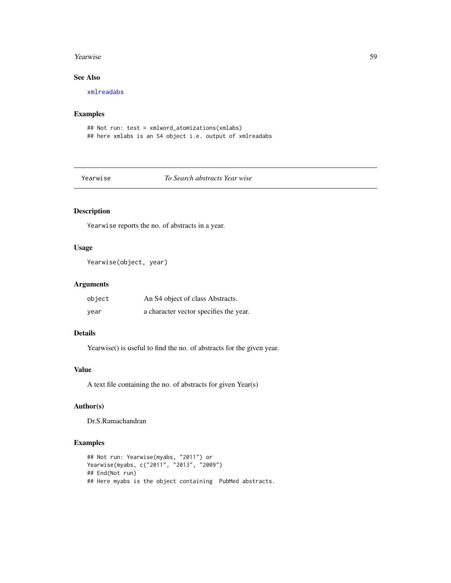#### <span id="page-58-0"></span>**Yearwise** 59

### See Also

[xmlreadabs](#page-56-1)

### Examples

```
## Not run: test = xmlword_atomizations(xmlabs)
## here xmlabs is an S4 object i.e. output of xmlreadabs
```
### <span id="page-58-1"></span>Yearwise *To Search abstracts Year wise*

### Description

Yearwise reports the no. of abstracts in a year.

### Usage

```
Yearwise(object, year)
```
#### Arguments

| object | An S4 object of class Abstracts.       |
|--------|----------------------------------------|
| year   | a character vector specifies the year. |

### Details

Yearwise() is useful to find the no. of abstracts for the given year.

### Value

A text file containing the no. of abstracts for given Year(s)

### Author(s)

Dr.S.Ramachandran

```
## Not run: Yearwise(myabs, "2011") or
Yearwise(myabs, c("2011", "2013", "2009")
## End(Not run)
## Here myabs is the object containing PubMed abstracts.
```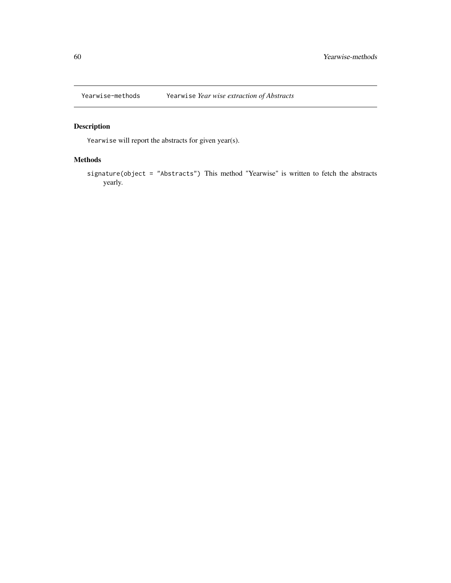<span id="page-59-0"></span>

Yearwise will report the abstracts for given year(s).

### Methods

signature(object = "Abstracts") This method "Yearwise" is written to fetch the abstracts yearly.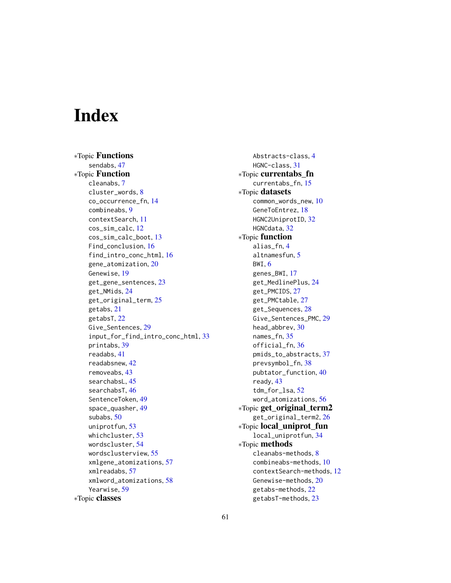# <span id="page-60-0"></span>**Index**

∗Topic Functions sendabs, [47](#page-46-0) ∗Topic Function cleanabs, [7](#page-6-0) cluster\_words, [8](#page-7-0) co\_occurrence\_fn, [14](#page-13-0) combineabs, [9](#page-8-0) contextSearch, [11](#page-10-0) cos\_sim\_calc, [12](#page-11-0) cos\_sim\_calc\_boot, [13](#page-12-0) Find\_conclusion, [16](#page-15-0) find\_intro\_conc\_html, [16](#page-15-0) gene\_atomization, [20](#page-19-0) Genewise, [19](#page-18-0) get\_gene\_sentences, [23](#page-22-0) get\_NMids, [24](#page-23-0) get\_original\_term, [25](#page-24-0) getabs, [21](#page-20-0) getabsT, [22](#page-21-0) Give\_Sentences, [29](#page-28-0) input\_for\_find\_intro\_conc\_html, [33](#page-32-0) printabs, [39](#page-38-0) readabs, [41](#page-40-0) readabsnew, [42](#page-41-0) removeabs, [43](#page-42-0) searchabsL, [45](#page-44-0) searchabsT, [46](#page-45-0) SentenceToken, [49](#page-48-0) space\_quasher, [49](#page-48-0) subabs, [50](#page-49-0) uniprotfun, [53](#page-52-0) whichcluster, [53](#page-52-0) wordscluster, [54](#page-53-0) wordsclusterview, [55](#page-54-0) xmlgene\_atomizations, [57](#page-56-0) xmlreadabs, [57](#page-56-0) xmlword\_atomizations, [58](#page-57-0) Yearwise, [59](#page-58-0) ∗Topic classes

Abstracts-class, [4](#page-3-0) HGNC-class, [31](#page-30-0) ∗Topic currentabs\_fn currentabs\_fn, [15](#page-14-0) ∗Topic datasets common\_words\_new, [10](#page-9-0) GeneToEntrez, [18](#page-17-0) HGNC2UniprotID, [32](#page-31-0) HGNCdata, [32](#page-31-0) ∗Topic function alias\_fn, [4](#page-3-0) altnamesfun, [5](#page-4-0) BWI, [6](#page-5-0) genes\_BWI, [17](#page-16-0) get\_MedlinePlus, [24](#page-23-0) get\_PMCIDS, [27](#page-26-0) get\_PMCtable, [27](#page-26-0) get\_Sequences, [28](#page-27-0) Give\_Sentences\_PMC, [29](#page-28-0) head\_abbrev, [30](#page-29-0) names\_fn, [35](#page-34-0) official\_fn, [36](#page-35-0) pmids\_to\_abstracts, [37](#page-36-0) prevsymbol\_fn, [38](#page-37-0) pubtator\_function, [40](#page-39-0) ready, [43](#page-42-0) tdm\_for\_lsa, [52](#page-51-0) word\_atomizations, [56](#page-55-0) ∗Topic get\_original\_term2 get\_original\_term2, [26](#page-25-0) ∗Topic local\_uniprot\_fun local\_uniprotfun, [34](#page-33-0) ∗Topic methods cleanabs-methods, [8](#page-7-0) combineabs-methods, [10](#page-9-0) contextSearch-methods, [12](#page-11-0) Genewise-methods, [20](#page-19-0) getabs-methods, [22](#page-21-0) getabsT-methods, [23](#page-22-0)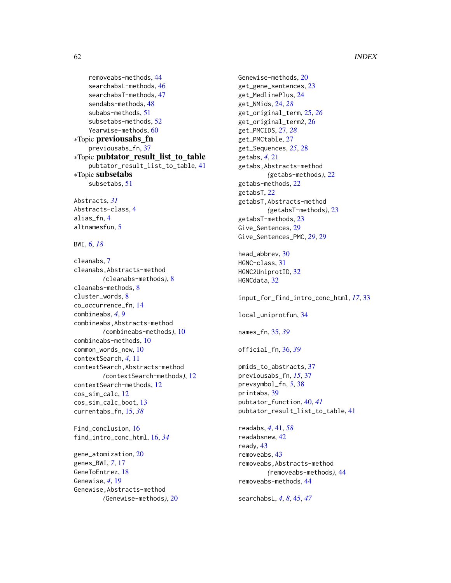```
removeabs-methods, 44
    searchabsL-methods, 46
    searchabsT-methods, 47
    sendabs-methods, 48
    subabs-methods, 51
    subsetabs-methods, 52
    60
∗Topic previousabs_fn
    previousabs_fn, 37
∗Topic pubtator_result_list_to_table
    pubtator_result_list_to_table, 41
∗Topic subsetabs
    subsetabs, 51
```
Abstracts, *[31](#page-30-0)* Abstracts-class, [4](#page-3-0) alias\_fn, [4](#page-3-0) altnamesfun, [5](#page-4-0)

BWI, [6,](#page-5-0) *[18](#page-17-0)*

cleanabs, [7](#page-6-0) cleanabs,Abstracts-method *(*cleanabs-methods*)*, [8](#page-7-0) cleanabs-methods, [8](#page-7-0) cluster\_words, [8](#page-7-0) co\_occurrence\_fn, [14](#page-13-0) combineabs, *[4](#page-3-0)*, [9](#page-8-0) combineabs,Abstracts-method *(*combineabs-methods*)*, [10](#page-9-0) combineabs-methods, [10](#page-9-0) common\_words\_new, [10](#page-9-0) contextSearch, *[4](#page-3-0)*, [11](#page-10-0) contextSearch,Abstracts-method *(*contextSearch-methods*)*, [12](#page-11-0) contextSearch-methods, [12](#page-11-0) cos\_sim\_calc, [12](#page-11-0) cos\_sim\_calc\_boot, [13](#page-12-0) currentabs\_fn, [15,](#page-14-0) *[38](#page-37-0)*

Find\_conclusion, [16](#page-15-0) find\_intro\_conc\_html, [16,](#page-15-0) *[34](#page-33-0)*

gene\_atomization, [20](#page-19-0) genes\_BWI, *[7](#page-6-0)*, [17](#page-16-0) GeneToEntrez, [18](#page-17-0) Genewise, *[4](#page-3-0)*, [19](#page-18-0) Genewise,Abstracts-method *(*Genewise-methods*)*, [20](#page-19-0) Genewise-methods, [20](#page-19-0) get\_gene\_sentences, [23](#page-22-0) get\_MedlinePlus, [24](#page-23-0) get\_NMids, [24,](#page-23-0) *[28](#page-27-0)* get\_original\_term, [25,](#page-24-0) *[26](#page-25-0)* get\_original\_term2, [26](#page-25-0) get\_PMCIDS, [27,](#page-26-0) *[28](#page-27-0)* get\_PMCtable, [27](#page-26-0) get\_Sequences, *[25](#page-24-0)*, [28](#page-27-0) getabs, *[4](#page-3-0)*, [21](#page-20-0) getabs,Abstracts-method *(*getabs-methods*)*, [22](#page-21-0) getabs-methods, [22](#page-21-0) getabsT, [22](#page-21-0) getabsT,Abstracts-method *(*getabsT-methods*)*, [23](#page-22-0) getabsT-methods, [23](#page-22-0) Give\_Sentences, [29](#page-28-0) Give\_Sentences\_PMC, *[29](#page-28-0)*, [29](#page-28-0) head\_abbrev, [30](#page-29-0) HGNC-class, [31](#page-30-0)

HGNC2UniprotID, [32](#page-31-0) HGNCdata, [32](#page-31-0)

input\_for\_find\_intro\_conc\_html, *[17](#page-16-0)*, [33](#page-32-0) local\_uniprotfun, [34](#page-33-0)

names\_fn, [35,](#page-34-0) *[39](#page-38-0)*

official\_fn, [36,](#page-35-0) *[39](#page-38-0)*

```
pmids_to_abstracts, 37
previousabs_fn, 15, 37
prevsymbol_fn, 5, 38
printabs, 39
pubtator_function, 40, 41
pubtator_result_list_to_table, 41
```
readabs, *[4](#page-3-0)*, [41,](#page-40-0) *[58](#page-57-0)* readabsnew, [42](#page-41-0) ready, [43](#page-42-0) removeabs, [43](#page-42-0) removeabs,Abstracts-method *(*removeabs-methods*)*, [44](#page-43-0) removeabs-methods, [44](#page-43-0)

searchabsL, *[4](#page-3-0)*, *[8](#page-7-0)*, [45,](#page-44-0) *[47](#page-46-0)*